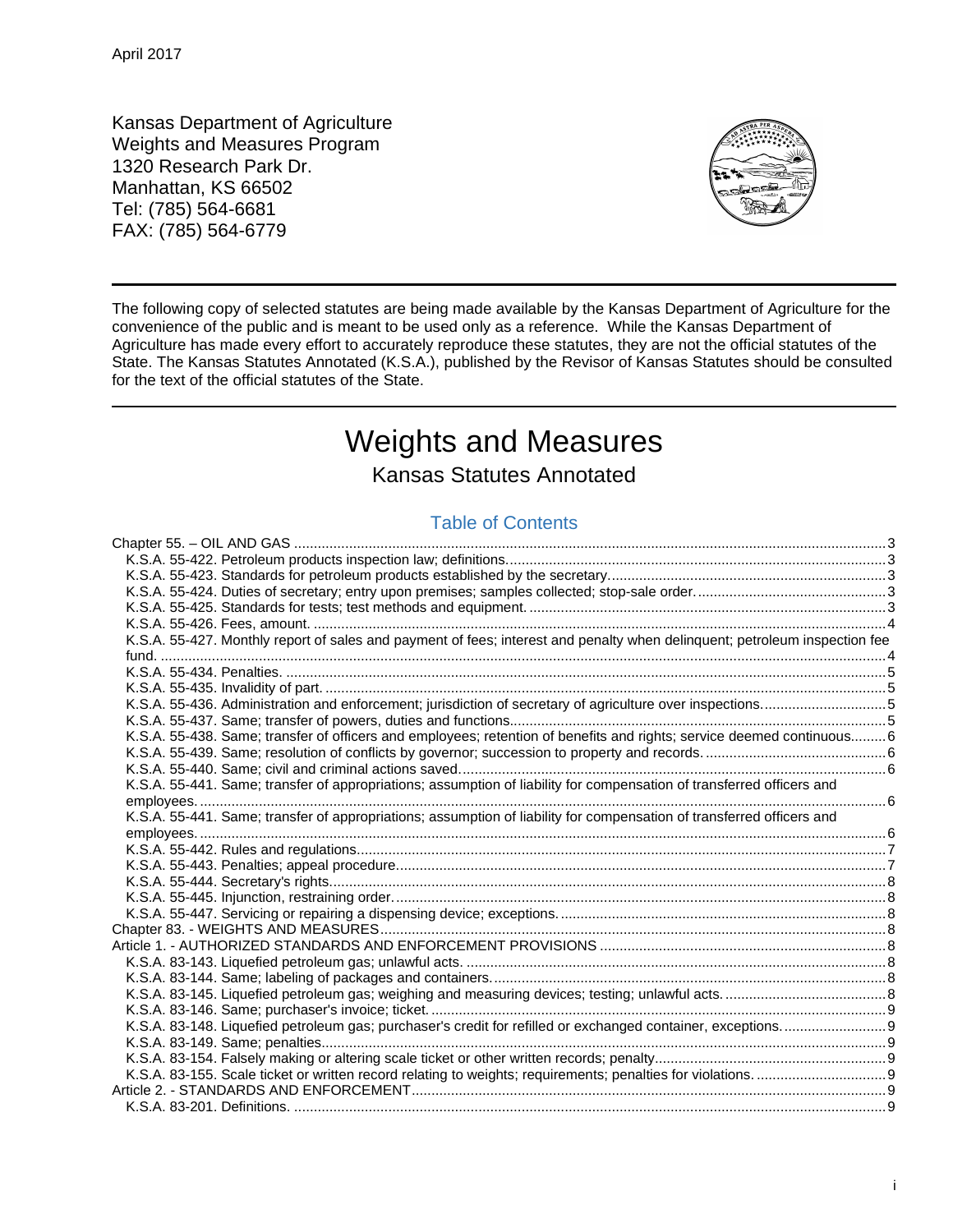Kansas Department of Agriculture Weights and Measures Program 1320 Research Park Dr. Manhattan, KS 66502 Tel: (785) 564-6681 FAX: (785) 564-6779



The following copy of selected statutes are being made available by the Kansas Department of Agriculture for the convenience of the public and is meant to be used only as a reference. While the Kansas Department of Agriculture has made every effort to accurately reproduce these statutes, they are not the official statutes of the State. The Kansas Statutes Annotated (K.S.A.), published by the Revisor of Kansas Statutes should be consulted for the text of the official statutes of the State.

# Weights and Measures

Kansas Statutes Annotated

## Table of Contents

| K.S.A. 55-427. Monthly report of sales and payment of fees; interest and penalty when delinquent; petroleum inspection fee |  |
|----------------------------------------------------------------------------------------------------------------------------|--|
|                                                                                                                            |  |
|                                                                                                                            |  |
|                                                                                                                            |  |
| K.S.A. 55-436. Administration and enforcement; jurisdiction of secretary of agriculture over inspections5                  |  |
|                                                                                                                            |  |
| K.S.A. 55-438. Same; transfer of officers and employees; retention of benefits and rights; service deemed continuous 6     |  |
|                                                                                                                            |  |
|                                                                                                                            |  |
| K.S.A. 55-441. Same; transfer of appropriations; assumption of liability for compensation of transferred officers and      |  |
|                                                                                                                            |  |
| K.S.A. 55-441. Same; transfer of appropriations; assumption of liability for compensation of transferred officers and      |  |
|                                                                                                                            |  |
|                                                                                                                            |  |
|                                                                                                                            |  |
|                                                                                                                            |  |
|                                                                                                                            |  |
|                                                                                                                            |  |
|                                                                                                                            |  |
|                                                                                                                            |  |
|                                                                                                                            |  |
|                                                                                                                            |  |
|                                                                                                                            |  |
|                                                                                                                            |  |
|                                                                                                                            |  |
| K.S.A. 83-148. Liquefied petroleum gas; purchaser's credit for refilled or exchanged container, exceptions                 |  |
|                                                                                                                            |  |
|                                                                                                                            |  |
|                                                                                                                            |  |
|                                                                                                                            |  |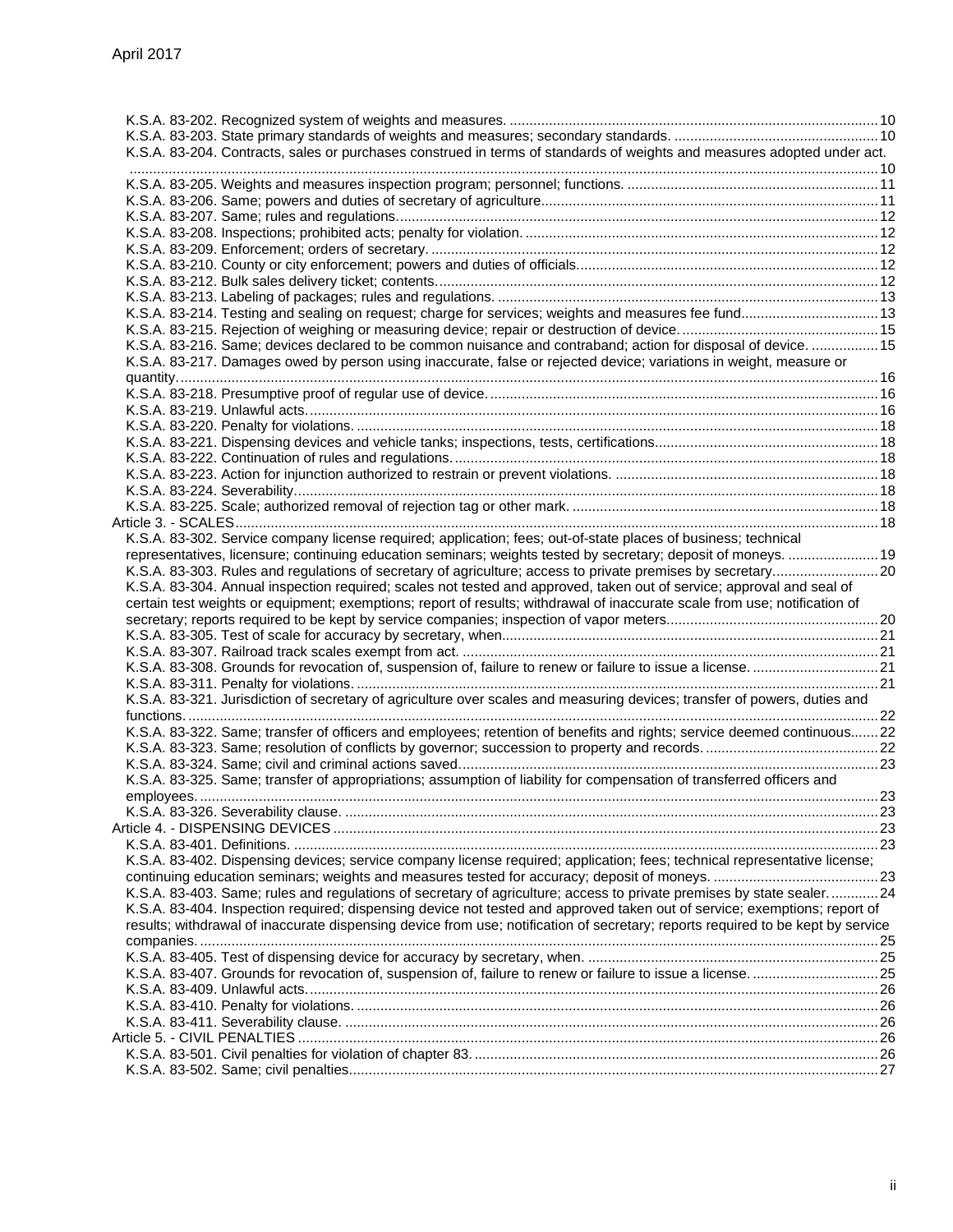|  | K.S.A. 83-204. Contracts, sales or purchases construed in terms of standards of weights and measures adopted under act.         |  |
|--|---------------------------------------------------------------------------------------------------------------------------------|--|
|  |                                                                                                                                 |  |
|  |                                                                                                                                 |  |
|  |                                                                                                                                 |  |
|  |                                                                                                                                 |  |
|  |                                                                                                                                 |  |
|  |                                                                                                                                 |  |
|  |                                                                                                                                 |  |
|  |                                                                                                                                 |  |
|  |                                                                                                                                 |  |
|  |                                                                                                                                 |  |
|  | K.S.A. 83-214. Testing and sealing on request; charge for services; weights and measures fee fund 13                            |  |
|  |                                                                                                                                 |  |
|  | K.S.A. 83-216. Same; devices declared to be common nuisance and contraband; action for disposal of device.  15                  |  |
|  | K.S.A. 83-217. Damages owed by person using inaccurate, false or rejected device; variations in weight, measure or              |  |
|  |                                                                                                                                 |  |
|  |                                                                                                                                 |  |
|  |                                                                                                                                 |  |
|  |                                                                                                                                 |  |
|  |                                                                                                                                 |  |
|  |                                                                                                                                 |  |
|  |                                                                                                                                 |  |
|  |                                                                                                                                 |  |
|  |                                                                                                                                 |  |
|  |                                                                                                                                 |  |
|  |                                                                                                                                 |  |
|  | K.S.A. 83-302. Service company license required; application; fees; out-of-state places of business; technical                  |  |
|  |                                                                                                                                 |  |
|  | representatives, licensure; continuing education seminars; weights tested by secretary; deposit of moneys.  19                  |  |
|  |                                                                                                                                 |  |
|  | K.S.A. 83-304. Annual inspection required; scales not tested and approved, taken out of service; approval and seal of           |  |
|  | certain test weights or equipment; exemptions; report of results; withdrawal of inaccurate scale from use; notification of      |  |
|  |                                                                                                                                 |  |
|  |                                                                                                                                 |  |
|  |                                                                                                                                 |  |
|  |                                                                                                                                 |  |
|  |                                                                                                                                 |  |
|  | K.S.A. 83-321. Jurisdiction of secretary of agriculture over scales and measuring devices; transfer of powers, duties and       |  |
|  |                                                                                                                                 |  |
|  |                                                                                                                                 |  |
|  | K.S.A. 83-322. Same; transfer of officers and employees; retention of benefits and rights; service deemed continuous 22         |  |
|  |                                                                                                                                 |  |
|  |                                                                                                                                 |  |
|  | K.S.A. 83-325. Same; transfer of appropriations; assumption of liability for compensation of transferred officers and           |  |
|  |                                                                                                                                 |  |
|  |                                                                                                                                 |  |
|  |                                                                                                                                 |  |
|  |                                                                                                                                 |  |
|  |                                                                                                                                 |  |
|  | K.S.A. 83-402. Dispensing devices; service company license required; application; fees; technical representative license;       |  |
|  |                                                                                                                                 |  |
|  | K.S.A. 83-403. Same; rules and regulations of secretary of agriculture; access to private premises by state sealer 24           |  |
|  | K.S.A. 83-404. Inspection required; dispensing device not tested and approved taken out of service; exemptions; report of       |  |
|  | results; withdrawal of inaccurate dispensing device from use; notification of secretary; reports required to be kept by service |  |
|  |                                                                                                                                 |  |
|  |                                                                                                                                 |  |
|  |                                                                                                                                 |  |
|  |                                                                                                                                 |  |
|  |                                                                                                                                 |  |
|  |                                                                                                                                 |  |
|  |                                                                                                                                 |  |
|  |                                                                                                                                 |  |
|  |                                                                                                                                 |  |
|  |                                                                                                                                 |  |
|  |                                                                                                                                 |  |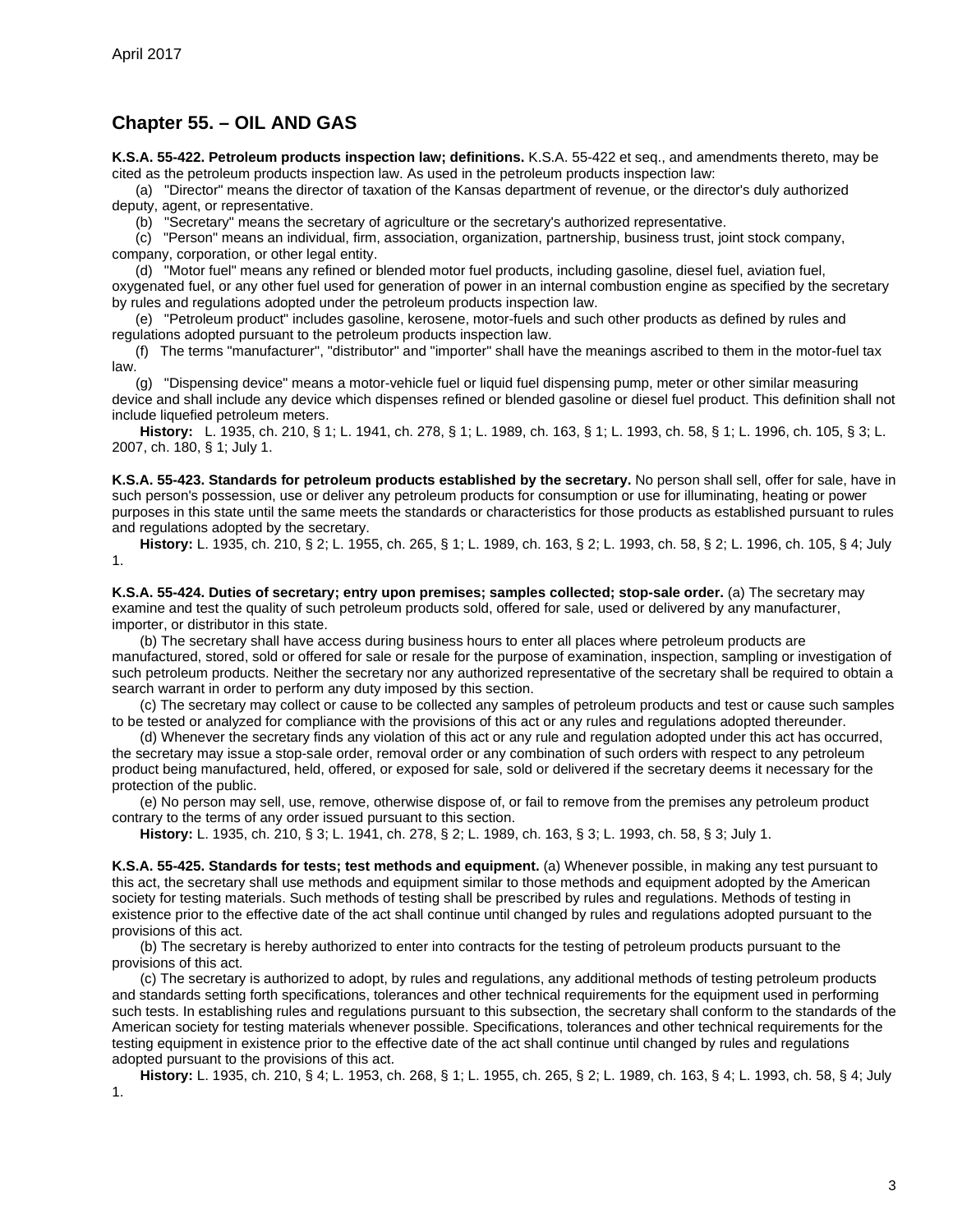## <span id="page-2-0"></span>**Chapter 55. – OIL AND GAS**

<span id="page-2-1"></span>**K.S.A. 55-422. Petroleum products inspection law; definitions.** K.S.A. 55-422 et seq., and amendments thereto, may be cited as the petroleum products inspection law. As used in the petroleum products inspection law:

(a) "Director" means the director of taxation of the Kansas department of revenue, or the director's duly authorized deputy, agent, or representative.

(b) "Secretary" means the secretary of agriculture or the secretary's authorized representative.

(c) "Person" means an individual, firm, association, organization, partnership, business trust, joint stock company, company, corporation, or other legal entity.

(d) "Motor fuel" means any refined or blended motor fuel products, including gasoline, diesel fuel, aviation fuel, oxygenated fuel, or any other fuel used for generation of power in an internal combustion engine as specified by the secretary by rules and regulations adopted under the petroleum products inspection law.

(e) "Petroleum product" includes gasoline, kerosene, motor-fuels and such other products as defined by rules and regulations adopted pursuant to the petroleum products inspection law.

(f) The terms "manufacturer", "distributor" and "importer" shall have the meanings ascribed to them in the motor-fuel tax law.

(g) "Dispensing device" means a motor-vehicle fuel or liquid fuel dispensing pump, meter or other similar measuring device and shall include any device which dispenses refined or blended gasoline or diesel fuel product. This definition shall not include liquefied petroleum meters.

**History:** L. 1935, ch. 210, § 1; L. 1941, ch. 278, § 1; L. 1989, ch. 163, § 1; L. 1993, ch. 58, § 1; L. 1996, ch. 105, § 3; L. 2007, ch. 180, § 1; July 1.

<span id="page-2-2"></span>**K.S.A. 55-423. Standards for petroleum products established by the secretary.** No person shall sell, offer for sale, have in such person's possession, use or deliver any petroleum products for consumption or use for illuminating, heating or power purposes in this state until the same meets the standards or characteristics for those products as established pursuant to rules and regulations adopted by the secretary.

**History:** L. 1935, ch. 210, § 2; L. 1955, ch. 265, § 1; L. 1989, ch. 163, § 2; L. 1993, ch. 58, § 2; L. 1996, ch. 105, § 4; July 1.

<span id="page-2-3"></span>**K.S.A. 55-424. Duties of secretary; entry upon premises; samples collected; stop-sale order.** (a) The secretary may examine and test the quality of such petroleum products sold, offered for sale, used or delivered by any manufacturer, importer, or distributor in this state.

(b) The secretary shall have access during business hours to enter all places where petroleum products are manufactured, stored, sold or offered for sale or resale for the purpose of examination, inspection, sampling or investigation of such petroleum products. Neither the secretary nor any authorized representative of the secretary shall be required to obtain a search warrant in order to perform any duty imposed by this section.

(c) The secretary may collect or cause to be collected any samples of petroleum products and test or cause such samples to be tested or analyzed for compliance with the provisions of this act or any rules and regulations adopted thereunder.

(d) Whenever the secretary finds any violation of this act or any rule and regulation adopted under this act has occurred, the secretary may issue a stop-sale order, removal order or any combination of such orders with respect to any petroleum product being manufactured, held, offered, or exposed for sale, sold or delivered if the secretary deems it necessary for the protection of the public.

(e) No person may sell, use, remove, otherwise dispose of, or fail to remove from the premises any petroleum product contrary to the terms of any order issued pursuant to this section.

**History:** L. 1935, ch. 210, § 3; L. 1941, ch. 278, § 2; L. 1989, ch. 163, § 3; L. 1993, ch. 58, § 3; July 1.

<span id="page-2-4"></span>**K.S.A. 55-425. Standards for tests; test methods and equipment.** (a) Whenever possible, in making any test pursuant to this act, the secretary shall use methods and equipment similar to those methods and equipment adopted by the American society for testing materials. Such methods of testing shall be prescribed by rules and regulations. Methods of testing in existence prior to the effective date of the act shall continue until changed by rules and regulations adopted pursuant to the provisions of this act.

(b) The secretary is hereby authorized to enter into contracts for the testing of petroleum products pursuant to the provisions of this act.

(c) The secretary is authorized to adopt, by rules and regulations, any additional methods of testing petroleum products and standards setting forth specifications, tolerances and other technical requirements for the equipment used in performing such tests. In establishing rules and regulations pursuant to this subsection, the secretary shall conform to the standards of the American society for testing materials whenever possible. Specifications, tolerances and other technical requirements for the testing equipment in existence prior to the effective date of the act shall continue until changed by rules and regulations adopted pursuant to the provisions of this act.

**History:** L. 1935, ch. 210, § 4; L. 1953, ch. 268, § 1; L. 1955, ch. 265, § 2; L. 1989, ch. 163, § 4; L. 1993, ch. 58, § 4; July 1.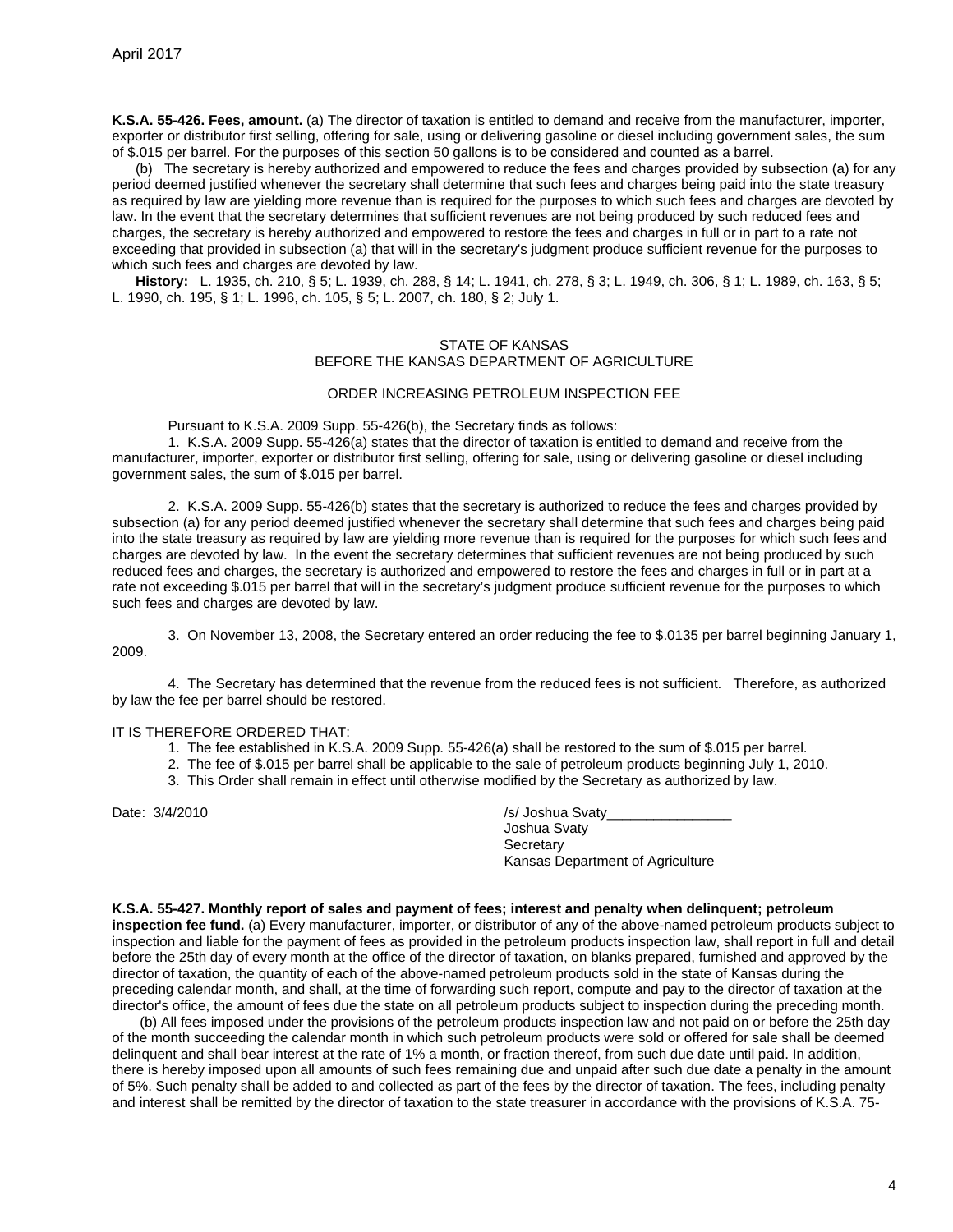<span id="page-3-0"></span>**K.S.A. 55-426. Fees, amount.** (a) The director of taxation is entitled to demand and receive from the manufacturer, importer, exporter or distributor first selling, offering for sale, using or delivering gasoline or diesel including government sales, the sum of \$.015 per barrel. For the purposes of this section 50 gallons is to be considered and counted as a barrel.

(b) The secretary is hereby authorized and empowered to reduce the fees and charges provided by subsection (a) for any period deemed justified whenever the secretary shall determine that such fees and charges being paid into the state treasury as required by law are yielding more revenue than is required for the purposes to which such fees and charges are devoted by law. In the event that the secretary determines that sufficient revenues are not being produced by such reduced fees and charges, the secretary is hereby authorized and empowered to restore the fees and charges in full or in part to a rate not exceeding that provided in subsection (a) that will in the secretary's judgment produce sufficient revenue for the purposes to which such fees and charges are devoted by law.

**History:** L. 1935, ch. 210, § 5; L. 1939, ch. 288, § 14; L. 1941, ch. 278, § 3; L. 1949, ch. 306, § 1; L. 1989, ch. 163, § 5; L. 1990, ch. 195, § 1; L. 1996, ch. 105, § 5; L. 2007, ch. 180, § 2; July 1.

#### STATE OF KANSAS BEFORE THE KANSAS DEPARTMENT OF AGRICULTURE

#### ORDER INCREASING PETROLEUM INSPECTION FEE

Pursuant to K.S.A. 2009 Supp. 55-426(b), the Secretary finds as follows:

1. K.S.A. 2009 Supp. 55-426(a) states that the director of taxation is entitled to demand and receive from the manufacturer, importer, exporter or distributor first selling, offering for sale, using or delivering gasoline or diesel including government sales, the sum of \$.015 per barrel.

2. K.S.A. 2009 Supp. 55-426(b) states that the secretary is authorized to reduce the fees and charges provided by subsection (a) for any period deemed justified whenever the secretary shall determine that such fees and charges being paid into the state treasury as required by law are yielding more revenue than is required for the purposes for which such fees and charges are devoted by law. In the event the secretary determines that sufficient revenues are not being produced by such reduced fees and charges, the secretary is authorized and empowered to restore the fees and charges in full or in part at a rate not exceeding \$.015 per barrel that will in the secretary's judgment produce sufficient revenue for the purposes to which such fees and charges are devoted by law.

3. On November 13, 2008, the Secretary entered an order reducing the fee to \$.0135 per barrel beginning January 1, 2009.

4. The Secretary has determined that the revenue from the reduced fees is not sufficient. Therefore, as authorized by law the fee per barrel should be restored.

#### IT IS THEREFORE ORDERED THAT:

- 1. The fee established in K.S.A. 2009 Supp. 55-426(a) shall be restored to the sum of \$.015 per barrel.
- 2. The fee of \$.015 per barrel shall be applicable to the sale of petroleum products beginning July 1, 2010.
	- 3. This Order shall remain in effect until otherwise modified by the Secretary as authorized by law.

Date: 3/4/2010 /s/ Joshua Svaty\_ Joshua Svaty **Secretary** Kansas Department of Agriculture

#### <span id="page-3-1"></span>**K.S.A. 55-427. Monthly report of sales and payment of fees; interest and penalty when delinquent; petroleum**

**inspection fee fund.** (a) Every manufacturer, importer, or distributor of any of the above-named petroleum products subject to inspection and liable for the payment of fees as provided in the petroleum products inspection law, shall report in full and detail before the 25th day of every month at the office of the director of taxation, on blanks prepared, furnished and approved by the director of taxation, the quantity of each of the above-named petroleum products sold in the state of Kansas during the preceding calendar month, and shall, at the time of forwarding such report, compute and pay to the director of taxation at the director's office, the amount of fees due the state on all petroleum products subject to inspection during the preceding month.

(b) All fees imposed under the provisions of the petroleum products inspection law and not paid on or before the 25th day of the month succeeding the calendar month in which such petroleum products were sold or offered for sale shall be deemed delinquent and shall bear interest at the rate of 1% a month, or fraction thereof, from such due date until paid. In addition, there is hereby imposed upon all amounts of such fees remaining due and unpaid after such due date a penalty in the amount of 5%. Such penalty shall be added to and collected as part of the fees by the director of taxation. The fees, including penalty and interest shall be remitted by the director of taxation to the state treasurer in accordance with the provisions of K.S.A. 75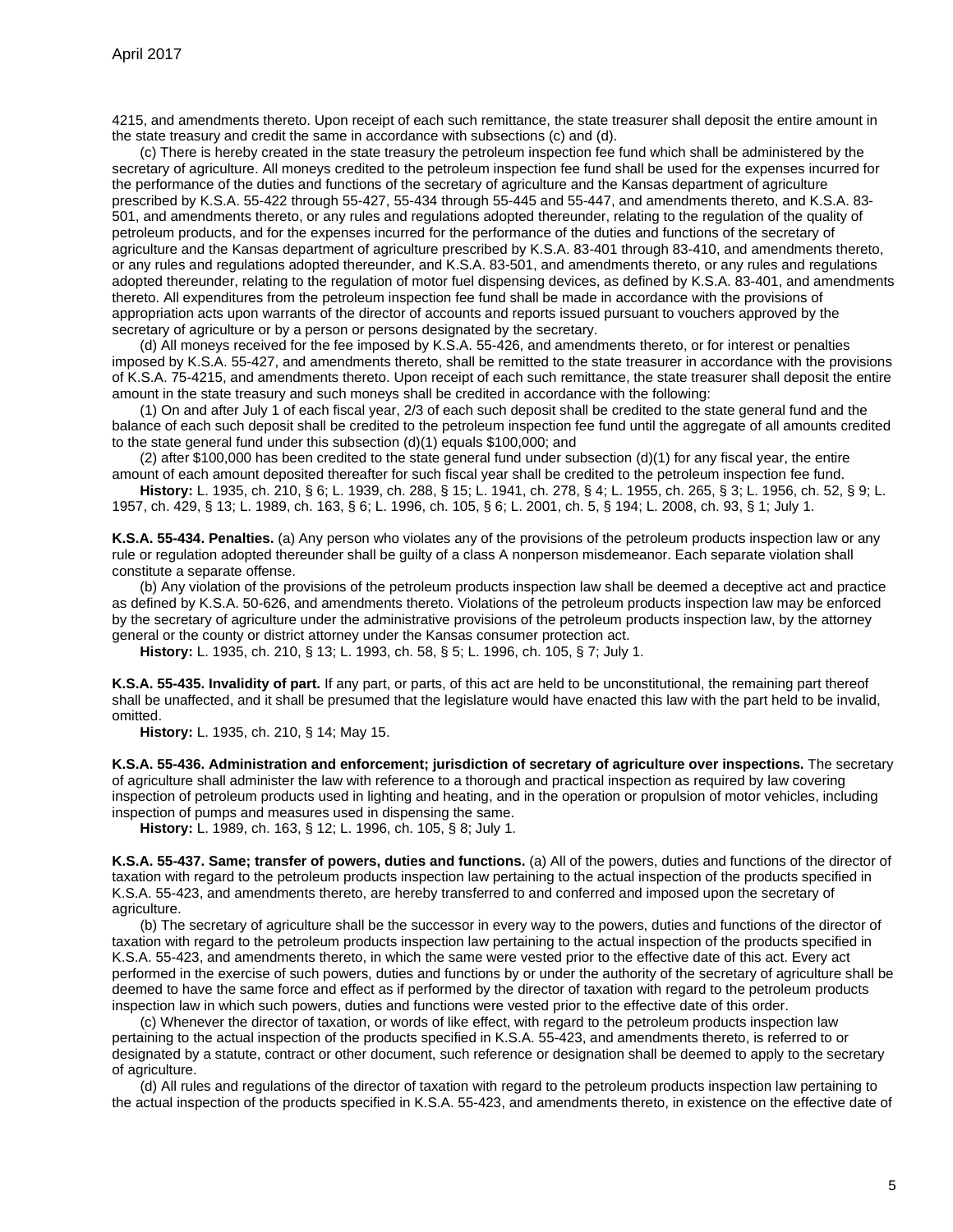4215, and amendments thereto. Upon receipt of each such remittance, the state treasurer shall deposit the entire amount in the state treasury and credit the same in accordance with subsections (c) and (d).

(c) There is hereby created in the state treasury the petroleum inspection fee fund which shall be administered by the secretary of agriculture. All moneys credited to the petroleum inspection fee fund shall be used for the expenses incurred for the performance of the duties and functions of the secretary of agriculture and the Kansas department of agriculture prescribed by K.S.A. 55-422 through 55-427, 55-434 through 55-445 and 55-447, and amendments thereto, and K.S.A. 83- 501, and amendments thereto, or any rules and regulations adopted thereunder, relating to the regulation of the quality of petroleum products, and for the expenses incurred for the performance of the duties and functions of the secretary of agriculture and the Kansas department of agriculture prescribed by K.S.A. 83-401 through 83-410, and amendments thereto, or any rules and regulations adopted thereunder, and K.S.A. 83-501, and amendments thereto, or any rules and regulations adopted thereunder, relating to the regulation of motor fuel dispensing devices, as defined by K.S.A. 83-401, and amendments thereto. All expenditures from the petroleum inspection fee fund shall be made in accordance with the provisions of appropriation acts upon warrants of the director of accounts and reports issued pursuant to vouchers approved by the secretary of agriculture or by a person or persons designated by the secretary.

(d) All moneys received for the fee imposed by K.S.A. 55-426, and amendments thereto, or for interest or penalties imposed by K.S.A. 55-427, and amendments thereto, shall be remitted to the state treasurer in accordance with the provisions of K.S.A. 75-4215, and amendments thereto. Upon receipt of each such remittance, the state treasurer shall deposit the entire amount in the state treasury and such moneys shall be credited in accordance with the following:

(1) On and after July 1 of each fiscal year, 2/3 of each such deposit shall be credited to the state general fund and the balance of each such deposit shall be credited to the petroleum inspection fee fund until the aggregate of all amounts credited to the state general fund under this subsection (d)(1) equals \$100,000; and

 $(2)$  after \$100,000 has been credited to the state general fund under subsection  $(d)(1)$  for any fiscal year, the entire amount of each amount deposited thereafter for such fiscal year shall be credited to the petroleum inspection fee fund.

**History:** L. 1935, ch. 210, § 6; L. 1939, ch. 288, § 15; L. 1941, ch. 278, § 4; L. 1955, ch. 265, § 3; L. 1956, ch. 52, § 9; L. 1957, ch. 429, § 13; L. 1989, ch. 163, § 6; L. 1996, ch. 105, § 6; L. 2001, ch. 5, § 194; L. 2008, ch. 93, § 1; July 1.

<span id="page-4-0"></span>**K.S.A. 55-434. Penalties.** (a) Any person who violates any of the provisions of the petroleum products inspection law or any rule or regulation adopted thereunder shall be guilty of a class A nonperson misdemeanor. Each separate violation shall constitute a separate offense.

(b) Any violation of the provisions of the petroleum products inspection law shall be deemed a deceptive act and practice as defined by K.S.A. 50-626, and amendments thereto. Violations of the petroleum products inspection law may be enforced by the secretary of agriculture under the administrative provisions of the petroleum products inspection law, by the attorney general or the county or district attorney under the Kansas consumer protection act.

**History:** L. 1935, ch. 210, § 13; L. 1993, ch. 58, § 5; L. 1996, ch. 105, § 7; July 1.

<span id="page-4-1"></span>**K.S.A. 55-435. Invalidity of part.** If any part, or parts, of this act are held to be unconstitutional, the remaining part thereof shall be unaffected, and it shall be presumed that the legislature would have enacted this law with the part held to be invalid, omitted.

**History:** L. 1935, ch. 210, § 14; May 15.

<span id="page-4-2"></span>**K.S.A. 55-436. Administration and enforcement; jurisdiction of secretary of agriculture over inspections.** The secretary of agriculture shall administer the law with reference to a thorough and practical inspection as required by law covering inspection of petroleum products used in lighting and heating, and in the operation or propulsion of motor vehicles, including inspection of pumps and measures used in dispensing the same.

**History:** L. 1989, ch. 163, § 12; L. 1996, ch. 105, § 8; July 1.

<span id="page-4-3"></span>**K.S.A. 55-437. Same; transfer of powers, duties and functions.** (a) All of the powers, duties and functions of the director of taxation with regard to the petroleum products inspection law pertaining to the actual inspection of the products specified in K.S.A. 55-423, and amendments thereto, are hereby transferred to and conferred and imposed upon the secretary of agriculture.

(b) The secretary of agriculture shall be the successor in every way to the powers, duties and functions of the director of taxation with regard to the petroleum products inspection law pertaining to the actual inspection of the products specified in K.S.A. 55-423, and amendments thereto, in which the same were vested prior to the effective date of this act. Every act performed in the exercise of such powers, duties and functions by or under the authority of the secretary of agriculture shall be deemed to have the same force and effect as if performed by the director of taxation with regard to the petroleum products inspection law in which such powers, duties and functions were vested prior to the effective date of this order.

(c) Whenever the director of taxation, or words of like effect, with regard to the petroleum products inspection law pertaining to the actual inspection of the products specified in K.S.A. 55-423, and amendments thereto, is referred to or designated by a statute, contract or other document, such reference or designation shall be deemed to apply to the secretary of agriculture.

(d) All rules and regulations of the director of taxation with regard to the petroleum products inspection law pertaining to the actual inspection of the products specified in K.S.A. 55-423, and amendments thereto, in existence on the effective date of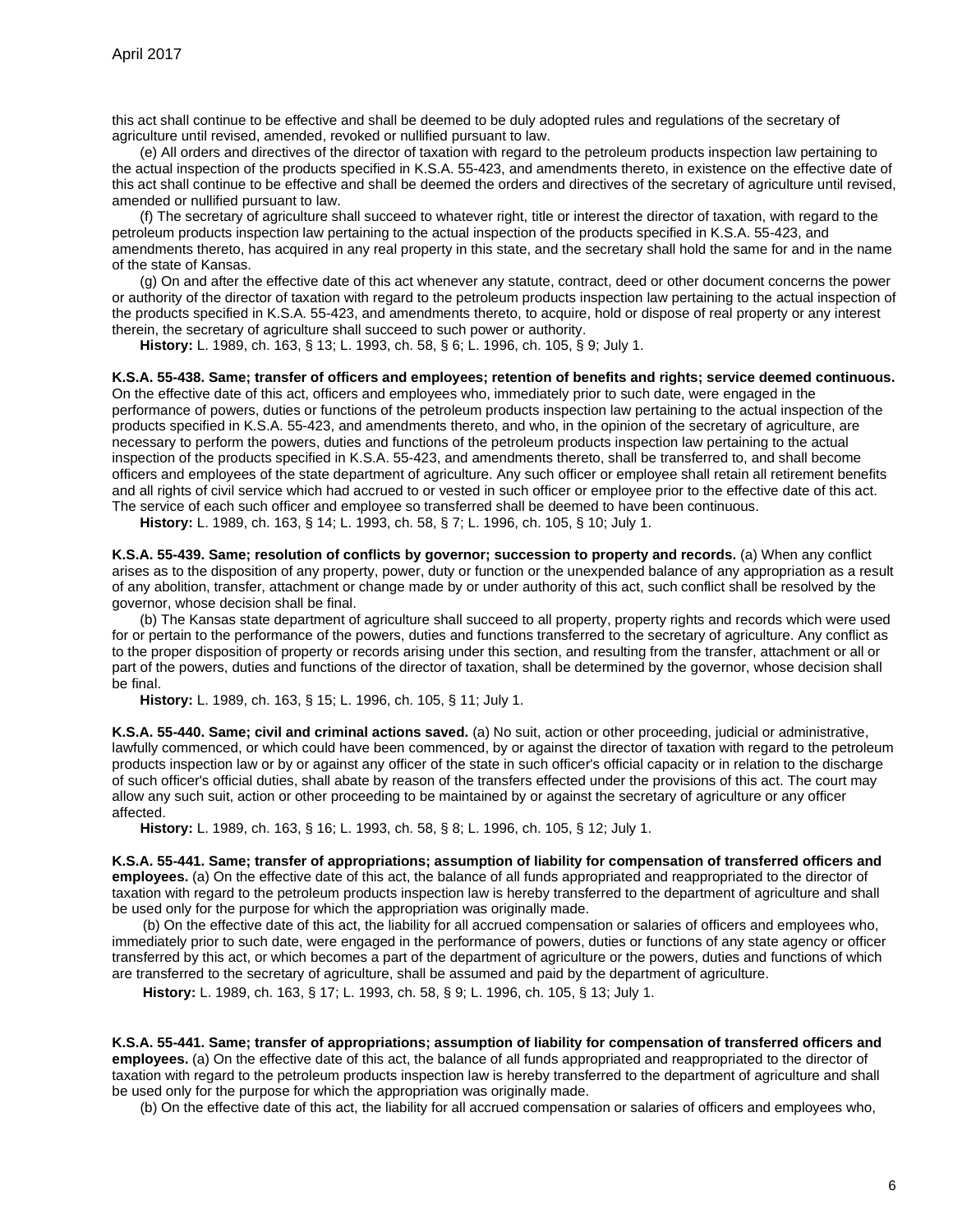this act shall continue to be effective and shall be deemed to be duly adopted rules and regulations of the secretary of agriculture until revised, amended, revoked or nullified pursuant to law.

(e) All orders and directives of the director of taxation with regard to the petroleum products inspection law pertaining to the actual inspection of the products specified in K.S.A. 55-423, and amendments thereto, in existence on the effective date of this act shall continue to be effective and shall be deemed the orders and directives of the secretary of agriculture until revised, amended or nullified pursuant to law.

(f) The secretary of agriculture shall succeed to whatever right, title or interest the director of taxation, with regard to the petroleum products inspection law pertaining to the actual inspection of the products specified in K.S.A. 55-423, and amendments thereto, has acquired in any real property in this state, and the secretary shall hold the same for and in the name of the state of Kansas.

(g) On and after the effective date of this act whenever any statute, contract, deed or other document concerns the power or authority of the director of taxation with regard to the petroleum products inspection law pertaining to the actual inspection of the products specified in K.S.A. 55-423, and amendments thereto, to acquire, hold or dispose of real property or any interest therein, the secretary of agriculture shall succeed to such power or authority.

**History:** L. 1989, ch. 163, § 13; L. 1993, ch. 58, § 6; L. 1996, ch. 105, § 9; July 1.

<span id="page-5-0"></span>**K.S.A. 55-438. Same; transfer of officers and employees; retention of benefits and rights; service deemed continuous.** On the effective date of this act, officers and employees who, immediately prior to such date, were engaged in the performance of powers, duties or functions of the petroleum products inspection law pertaining to the actual inspection of the products specified in K.S.A. 55-423, and amendments thereto, and who, in the opinion of the secretary of agriculture, are necessary to perform the powers, duties and functions of the petroleum products inspection law pertaining to the actual inspection of the products specified in K.S.A. 55-423, and amendments thereto, shall be transferred to, and shall become officers and employees of the state department of agriculture. Any such officer or employee shall retain all retirement benefits and all rights of civil service which had accrued to or vested in such officer or employee prior to the effective date of this act. The service of each such officer and employee so transferred shall be deemed to have been continuous.

**History:** L. 1989, ch. 163, § 14; L. 1993, ch. 58, § 7; L. 1996, ch. 105, § 10; July 1.

<span id="page-5-1"></span>**K.S.A. 55-439. Same; resolution of conflicts by governor; succession to property and records.** (a) When any conflict arises as to the disposition of any property, power, duty or function or the unexpended balance of any appropriation as a result of any abolition, transfer, attachment or change made by or under authority of this act, such conflict shall be resolved by the governor, whose decision shall be final.

(b) The Kansas state department of agriculture shall succeed to all property, property rights and records which were used for or pertain to the performance of the powers, duties and functions transferred to the secretary of agriculture. Any conflict as to the proper disposition of property or records arising under this section, and resulting from the transfer, attachment or all or part of the powers, duties and functions of the director of taxation, shall be determined by the governor, whose decision shall be final.

**History:** L. 1989, ch. 163, § 15; L. 1996, ch. 105, § 11; July 1.

<span id="page-5-2"></span>**K.S.A. 55-440. Same; civil and criminal actions saved.** (a) No suit, action or other proceeding, judicial or administrative, lawfully commenced, or which could have been commenced, by or against the director of taxation with regard to the petroleum products inspection law or by or against any officer of the state in such officer's official capacity or in relation to the discharge of such officer's official duties, shall abate by reason of the transfers effected under the provisions of this act. The court may allow any such suit, action or other proceeding to be maintained by or against the secretary of agriculture or any officer affected.

**History:** L. 1989, ch. 163, § 16; L. 1993, ch. 58, § 8; L. 1996, ch. 105, § 12; July 1.

<span id="page-5-3"></span>**K.S.A. 55-441. Same; transfer of appropriations; assumption of liability for compensation of transferred officers and employees.** (a) On the effective date of this act, the balance of all funds appropriated and reappropriated to the director of taxation with regard to the petroleum products inspection law is hereby transferred to the department of agriculture and shall be used only for the purpose for which the appropriation was originally made.

(b) On the effective date of this act, the liability for all accrued compensation or salaries of officers and employees who, immediately prior to such date, were engaged in the performance of powers, duties or functions of any state agency or officer transferred by this act, or which becomes a part of the department of agriculture or the powers, duties and functions of which are transferred to the secretary of agriculture, shall be assumed and paid by the department of agriculture.

**History:** L. 1989, ch. 163, § 17; L. 1993, ch. 58, § 9; L. 1996, ch. 105, § 13; July 1.

<span id="page-5-4"></span>**K.S.A. 55-441. Same; transfer of appropriations; assumption of liability for compensation of transferred officers and employees.** (a) On the effective date of this act, the balance of all funds appropriated and reappropriated to the director of taxation with regard to the petroleum products inspection law is hereby transferred to the department of agriculture and shall be used only for the purpose for which the appropriation was originally made.

(b) On the effective date of this act, the liability for all accrued compensation or salaries of officers and employees who,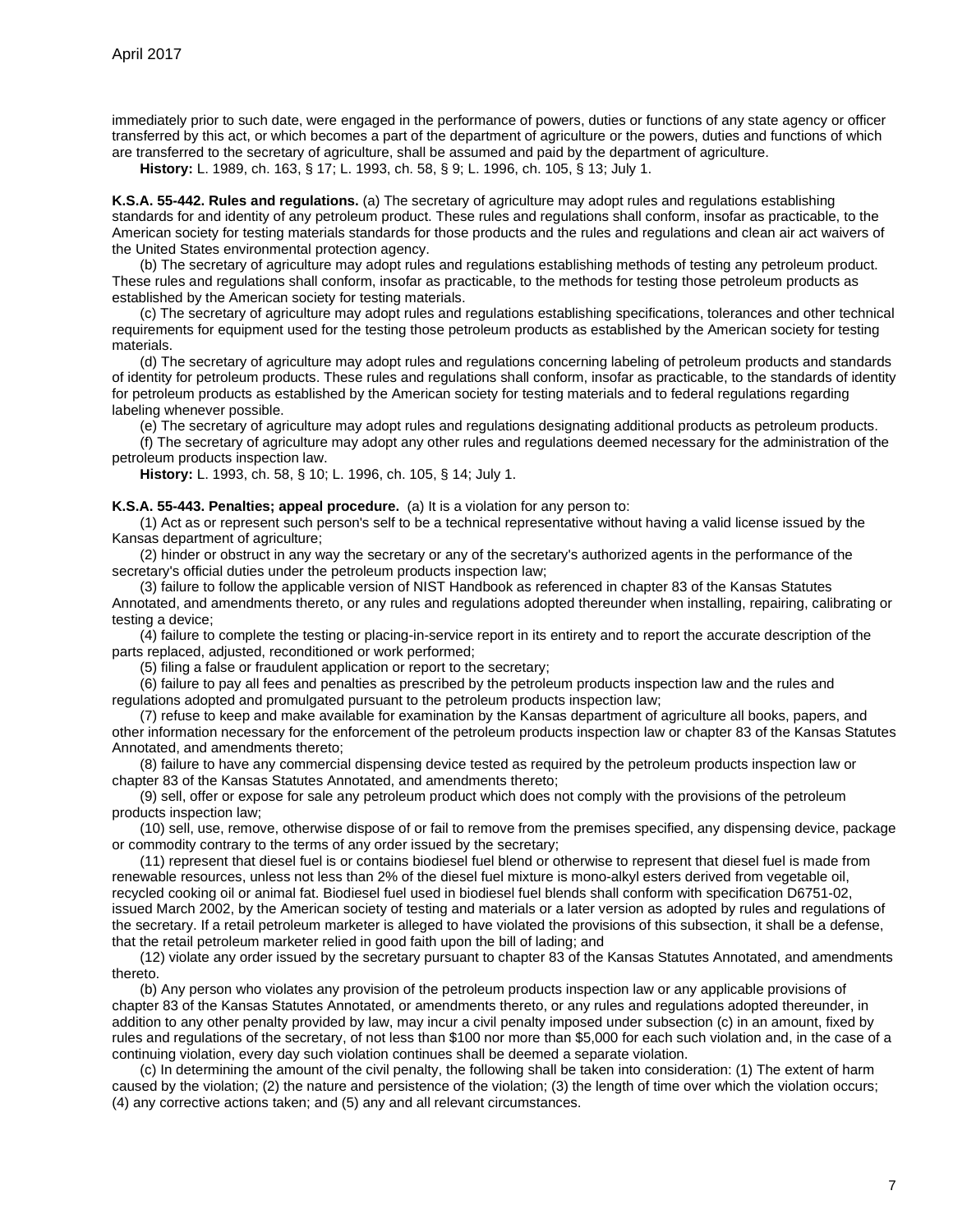immediately prior to such date, were engaged in the performance of powers, duties or functions of any state agency or officer transferred by this act, or which becomes a part of the department of agriculture or the powers, duties and functions of which are transferred to the secretary of agriculture, shall be assumed and paid by the department of agriculture.

**History:** L. 1989, ch. 163, § 17; L. 1993, ch. 58, § 9; L. 1996, ch. 105, § 13; July 1.

<span id="page-6-0"></span>**K.S.A. 55-442. Rules and regulations.** (a) The secretary of agriculture may adopt rules and regulations establishing standards for and identity of any petroleum product. These rules and regulations shall conform, insofar as practicable, to the American society for testing materials standards for those products and the rules and regulations and clean air act waivers of the United States environmental protection agency.

(b) The secretary of agriculture may adopt rules and regulations establishing methods of testing any petroleum product. These rules and regulations shall conform, insofar as practicable, to the methods for testing those petroleum products as established by the American society for testing materials.

(c) The secretary of agriculture may adopt rules and regulations establishing specifications, tolerances and other technical requirements for equipment used for the testing those petroleum products as established by the American society for testing materials.

(d) The secretary of agriculture may adopt rules and regulations concerning labeling of petroleum products and standards of identity for petroleum products. These rules and regulations shall conform, insofar as practicable, to the standards of identity for petroleum products as established by the American society for testing materials and to federal regulations regarding labeling whenever possible.

(e) The secretary of agriculture may adopt rules and regulations designating additional products as petroleum products.

(f) The secretary of agriculture may adopt any other rules and regulations deemed necessary for the administration of the petroleum products inspection law.

**History:** L. 1993, ch. 58, § 10; L. 1996, ch. 105, § 14; July 1.

#### <span id="page-6-1"></span>**K.S.A. 55-443. Penalties; appeal procedure.** (a) It is a violation for any person to:

(1) Act as or represent such person's self to be a technical representative without having a valid license issued by the Kansas department of agriculture;

(2) hinder or obstruct in any way the secretary or any of the secretary's authorized agents in the performance of the secretary's official duties under the petroleum products inspection law;

(3) failure to follow the applicable version of NIST Handbook as referenced in chapter 83 of the Kansas Statutes Annotated, and amendments thereto, or any rules and regulations adopted thereunder when installing, repairing, calibrating or testing a device;

(4) failure to complete the testing or placing-in-service report in its entirety and to report the accurate description of the parts replaced, adjusted, reconditioned or work performed;

(5) filing a false or fraudulent application or report to the secretary;

(6) failure to pay all fees and penalties as prescribed by the petroleum products inspection law and the rules and regulations adopted and promulgated pursuant to the petroleum products inspection law;

(7) refuse to keep and make available for examination by the Kansas department of agriculture all books, papers, and other information necessary for the enforcement of the petroleum products inspection law or chapter 83 of the Kansas Statutes Annotated, and amendments thereto;

(8) failure to have any commercial dispensing device tested as required by the petroleum products inspection law or chapter 83 of the Kansas Statutes Annotated, and amendments thereto;

(9) sell, offer or expose for sale any petroleum product which does not comply with the provisions of the petroleum products inspection law;

(10) sell, use, remove, otherwise dispose of or fail to remove from the premises specified, any dispensing device, package or commodity contrary to the terms of any order issued by the secretary;

(11) represent that diesel fuel is or contains biodiesel fuel blend or otherwise to represent that diesel fuel is made from renewable resources, unless not less than 2% of the diesel fuel mixture is mono-alkyl esters derived from vegetable oil, recycled cooking oil or animal fat. Biodiesel fuel used in biodiesel fuel blends shall conform with specification D6751-02, issued March 2002, by the American society of testing and materials or a later version as adopted by rules and regulations of the secretary. If a retail petroleum marketer is alleged to have violated the provisions of this subsection, it shall be a defense, that the retail petroleum marketer relied in good faith upon the bill of lading; and

(12) violate any order issued by the secretary pursuant to chapter 83 of the Kansas Statutes Annotated, and amendments thereto.

(b) Any person who violates any provision of the petroleum products inspection law or any applicable provisions of chapter 83 of the Kansas Statutes Annotated, or amendments thereto, or any rules and regulations adopted thereunder, in addition to any other penalty provided by law, may incur a civil penalty imposed under subsection (c) in an amount, fixed by rules and regulations of the secretary, of not less than \$100 nor more than \$5,000 for each such violation and, in the case of a continuing violation, every day such violation continues shall be deemed a separate violation.

(c) In determining the amount of the civil penalty, the following shall be taken into consideration: (1) The extent of harm caused by the violation; (2) the nature and persistence of the violation; (3) the length of time over which the violation occurs; (4) any corrective actions taken; and (5) any and all relevant circumstances.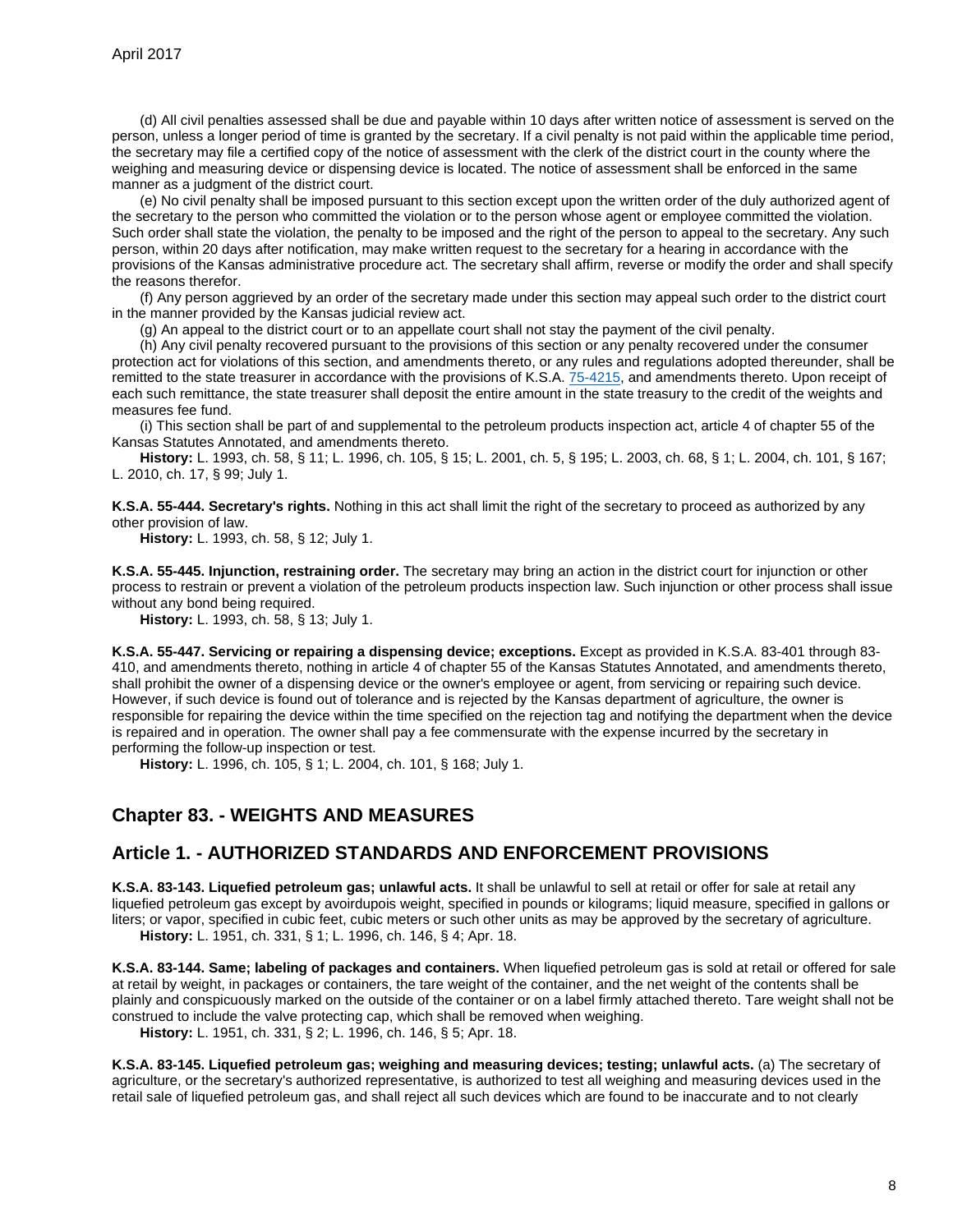(d) All civil penalties assessed shall be due and payable within 10 days after written notice of assessment is served on the person, unless a longer period of time is granted by the secretary. If a civil penalty is not paid within the applicable time period, the secretary may file a certified copy of the notice of assessment with the clerk of the district court in the county where the weighing and measuring device or dispensing device is located. The notice of assessment shall be enforced in the same manner as a judgment of the district court.

(e) No civil penalty shall be imposed pursuant to this section except upon the written order of the duly authorized agent of the secretary to the person who committed the violation or to the person whose agent or employee committed the violation. Such order shall state the violation, the penalty to be imposed and the right of the person to appeal to the secretary. Any such person, within 20 days after notification, may make written request to the secretary for a hearing in accordance with the provisions of the Kansas administrative procedure act. The secretary shall affirm, reverse or modify the order and shall specify the reasons therefor.

(f) Any person aggrieved by an order of the secretary made under this section may appeal such order to the district court in the manner provided by the Kansas judicial review act.

(g) An appeal to the district court or to an appellate court shall not stay the payment of the civil penalty.

(h) Any civil penalty recovered pursuant to the provisions of this section or any penalty recovered under the consumer protection act for violations of this section, and amendments thereto, or any rules and regulations adopted thereunder, shall be remitted to the state treasurer in accordance with the provisions of K.S.A. [75-4215,](http://www.ksrevisor.org/statutes/chapters/ch75/075_042_0015.html) and amendments thereto. Upon receipt of each such remittance, the state treasurer shall deposit the entire amount in the state treasury to the credit of the weights and measures fee fund.

(i) This section shall be part of and supplemental to the petroleum products inspection act, article 4 of chapter 55 of the Kansas Statutes Annotated, and amendments thereto.

**History:** L. 1993, ch. 58, § 11; L. 1996, ch. 105, § 15; L. 2001, ch. 5, § 195; L. 2003, ch. 68, § 1; L. 2004, ch. 101, § 167; L. 2010, ch. 17, § 99; July 1.

<span id="page-7-0"></span>**K.S.A. 55-444. Secretary's rights.** Nothing in this act shall limit the right of the secretary to proceed as authorized by any other provision of law.

**History:** L. 1993, ch. 58, § 12; July 1.

<span id="page-7-1"></span>**K.S.A. 55-445. Injunction, restraining order.** The secretary may bring an action in the district court for injunction or other process to restrain or prevent a violation of the petroleum products inspection law. Such injunction or other process shall issue without any bond being required.

**History:** L. 1993, ch. 58, § 13; July 1.

<span id="page-7-2"></span>**K.S.A. 55-447. Servicing or repairing a dispensing device; exceptions.** Except as provided in K.S.A. 83-401 through 83- 410, and amendments thereto, nothing in article 4 of chapter 55 of the Kansas Statutes Annotated, and amendments thereto, shall prohibit the owner of a dispensing device or the owner's employee or agent, from servicing or repairing such device. However, if such device is found out of tolerance and is rejected by the Kansas department of agriculture, the owner is responsible for repairing the device within the time specified on the rejection tag and notifying the department when the device is repaired and in operation. The owner shall pay a fee commensurate with the expense incurred by the secretary in performing the follow-up inspection or test.

**History:** L. 1996, ch. 105, § 1; L. 2004, ch. 101, § 168; July 1.

## <span id="page-7-3"></span>**Chapter 83. - WEIGHTS AND MEASURES**

## <span id="page-7-4"></span>**Article 1. - AUTHORIZED STANDARDS AND ENFORCEMENT PROVISIONS**

<span id="page-7-5"></span>**K.S.A. 83-143. Liquefied petroleum gas; unlawful acts.** It shall be unlawful to sell at retail or offer for sale at retail any liquefied petroleum gas except by avoirdupois weight, specified in pounds or kilograms; liquid measure, specified in gallons or liters; or vapor, specified in cubic feet, cubic meters or such other units as may be approved by the secretary of agriculture. **History:** L. 1951, ch. 331, § 1; L. 1996, ch. 146, § 4; Apr. 18.

<span id="page-7-6"></span>**K.S.A. 83-144. Same; labeling of packages and containers.** When liquefied petroleum gas is sold at retail or offered for sale at retail by weight, in packages or containers, the tare weight of the container, and the net weight of the contents shall be plainly and conspicuously marked on the outside of the container or on a label firmly attached thereto. Tare weight shall not be construed to include the valve protecting cap, which shall be removed when weighing.

**History:** L. 1951, ch. 331, § 2; L. 1996, ch. 146, § 5; Apr. 18.

<span id="page-7-7"></span>**K.S.A. 83-145. Liquefied petroleum gas; weighing and measuring devices; testing; unlawful acts.** (a) The secretary of agriculture, or the secretary's authorized representative, is authorized to test all weighing and measuring devices used in the retail sale of liquefied petroleum gas, and shall reject all such devices which are found to be inaccurate and to not clearly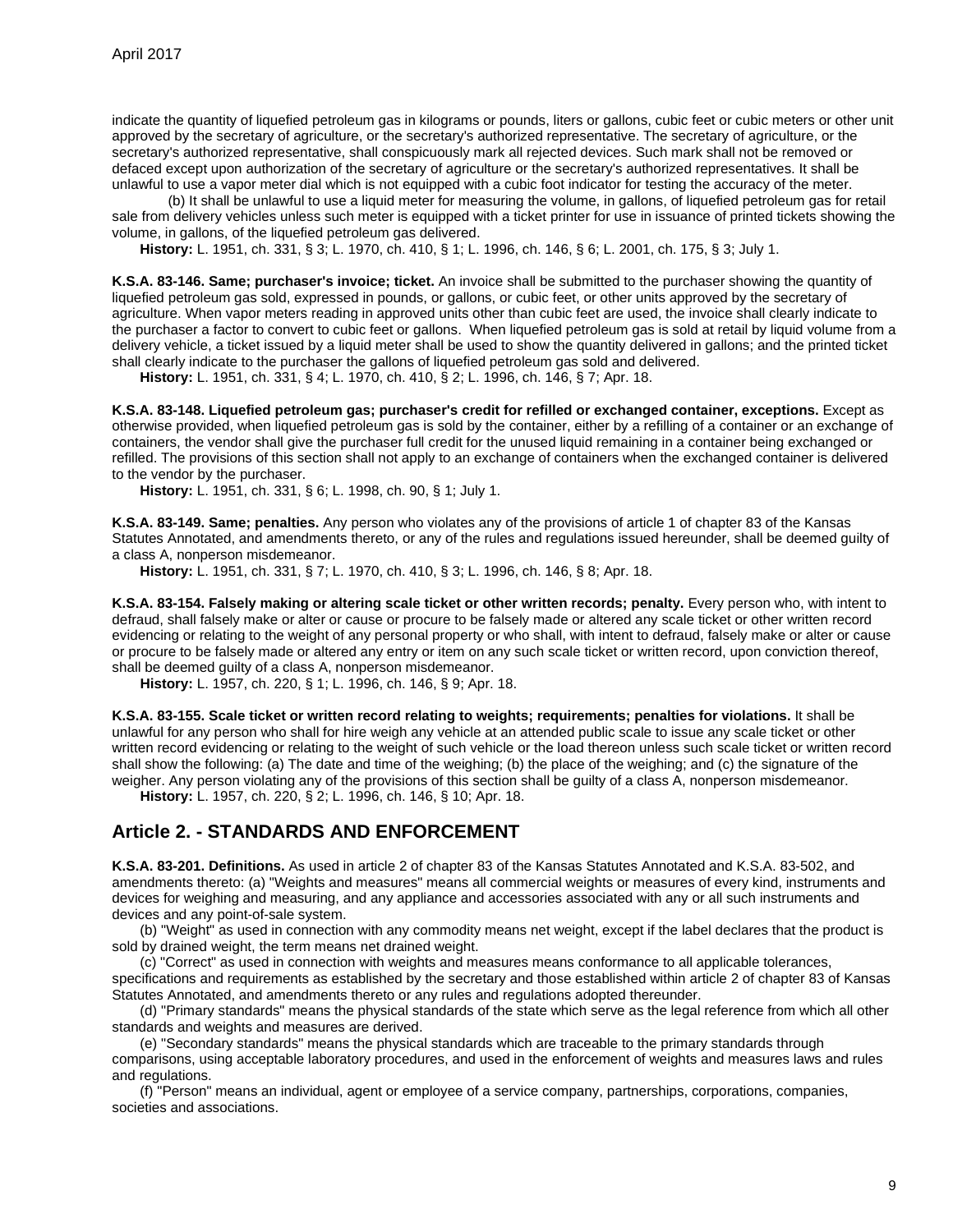indicate the quantity of liquefied petroleum gas in kilograms or pounds, liters or gallons, cubic feet or cubic meters or other unit approved by the secretary of agriculture, or the secretary's authorized representative. The secretary of agriculture, or the secretary's authorized representative, shall conspicuously mark all rejected devices. Such mark shall not be removed or defaced except upon authorization of the secretary of agriculture or the secretary's authorized representatives. It shall be unlawful to use a vapor meter dial which is not equipped with a cubic foot indicator for testing the accuracy of the meter.

(b) It shall be unlawful to use a liquid meter for measuring the volume, in gallons, of liquefied petroleum gas for retail sale from delivery vehicles unless such meter is equipped with a ticket printer for use in issuance of printed tickets showing the volume, in gallons, of the liquefied petroleum gas delivered.

**History:** L. 1951, ch. 331, § 3; L. 1970, ch. 410, § 1; L. 1996, ch. 146, § 6; L. 2001, ch. 175, § 3; July 1.

<span id="page-8-0"></span>**K.S.A. 83-146. Same; purchaser's invoice; ticket.** An invoice shall be submitted to the purchaser showing the quantity of liquefied petroleum gas sold, expressed in pounds, or gallons, or cubic feet, or other units approved by the secretary of agriculture. When vapor meters reading in approved units other than cubic feet are used, the invoice shall clearly indicate to the purchaser a factor to convert to cubic feet or gallons. When liquefied petroleum gas is sold at retail by liquid volume from a delivery vehicle, a ticket issued by a liquid meter shall be used to show the quantity delivered in gallons; and the printed ticket shall clearly indicate to the purchaser the gallons of liquefied petroleum gas sold and delivered.

**History:** L. 1951, ch. 331, § 4; L. 1970, ch. 410, § 2; L. 1996, ch. 146, § 7; Apr. 18.

<span id="page-8-1"></span>**K.S.A. 83-148. Liquefied petroleum gas; purchaser's credit for refilled or exchanged container, exceptions.** Except as otherwise provided, when liquefied petroleum gas is sold by the container, either by a refilling of a container or an exchange of containers, the vendor shall give the purchaser full credit for the unused liquid remaining in a container being exchanged or refilled. The provisions of this section shall not apply to an exchange of containers when the exchanged container is delivered to the vendor by the purchaser.

**History:** L. 1951, ch. 331, § 6; L. 1998, ch. 90, § 1; July 1.

<span id="page-8-2"></span>**K.S.A. 83-149. Same; penalties.** Any person who violates any of the provisions of article 1 of chapter 83 of the Kansas Statutes Annotated, and amendments thereto, or any of the rules and regulations issued hereunder, shall be deemed guilty of a class A, nonperson misdemeanor.

**History:** L. 1951, ch. 331, § 7; L. 1970, ch. 410, § 3; L. 1996, ch. 146, § 8; Apr. 18.

<span id="page-8-3"></span>**K.S.A. 83-154. Falsely making or altering scale ticket or other written records; penalty.** Every person who, with intent to defraud, shall falsely make or alter or cause or procure to be falsely made or altered any scale ticket or other written record evidencing or relating to the weight of any personal property or who shall, with intent to defraud, falsely make or alter or cause or procure to be falsely made or altered any entry or item on any such scale ticket or written record, upon conviction thereof, shall be deemed guilty of a class A, nonperson misdemeanor.

**History:** L. 1957, ch. 220, § 1; L. 1996, ch. 146, § 9; Apr. 18.

<span id="page-8-4"></span>**K.S.A. 83-155. Scale ticket or written record relating to weights; requirements; penalties for violations.** It shall be unlawful for any person who shall for hire weigh any vehicle at an attended public scale to issue any scale ticket or other written record evidencing or relating to the weight of such vehicle or the load thereon unless such scale ticket or written record shall show the following: (a) The date and time of the weighing; (b) the place of the weighing; and (c) the signature of the weigher. Any person violating any of the provisions of this section shall be guilty of a class A, nonperson misdemeanor.

**History:** L. 1957, ch. 220, § 2; L. 1996, ch. 146, § 10; Apr. 18.

## <span id="page-8-5"></span>**Article 2. - STANDARDS AND ENFORCEMENT**

<span id="page-8-6"></span>**K.S.A. 83-201. Definitions.** As used in article 2 of chapter 83 of the Kansas Statutes Annotated and K.S.A. 83-502, and amendments thereto: (a) "Weights and measures" means all commercial weights or measures of every kind, instruments and devices for weighing and measuring, and any appliance and accessories associated with any or all such instruments and devices and any point-of-sale system.

(b) "Weight" as used in connection with any commodity means net weight, except if the label declares that the product is sold by drained weight, the term means net drained weight.

(c) "Correct" as used in connection with weights and measures means conformance to all applicable tolerances, specifications and requirements as established by the secretary and those established within article 2 of chapter 83 of Kansas Statutes Annotated, and amendments thereto or any rules and regulations adopted thereunder.

(d) "Primary standards" means the physical standards of the state which serve as the legal reference from which all other standards and weights and measures are derived.

(e) "Secondary standards" means the physical standards which are traceable to the primary standards through comparisons, using acceptable laboratory procedures, and used in the enforcement of weights and measures laws and rules and regulations.

(f) "Person" means an individual, agent or employee of a service company, partnerships, corporations, companies, societies and associations.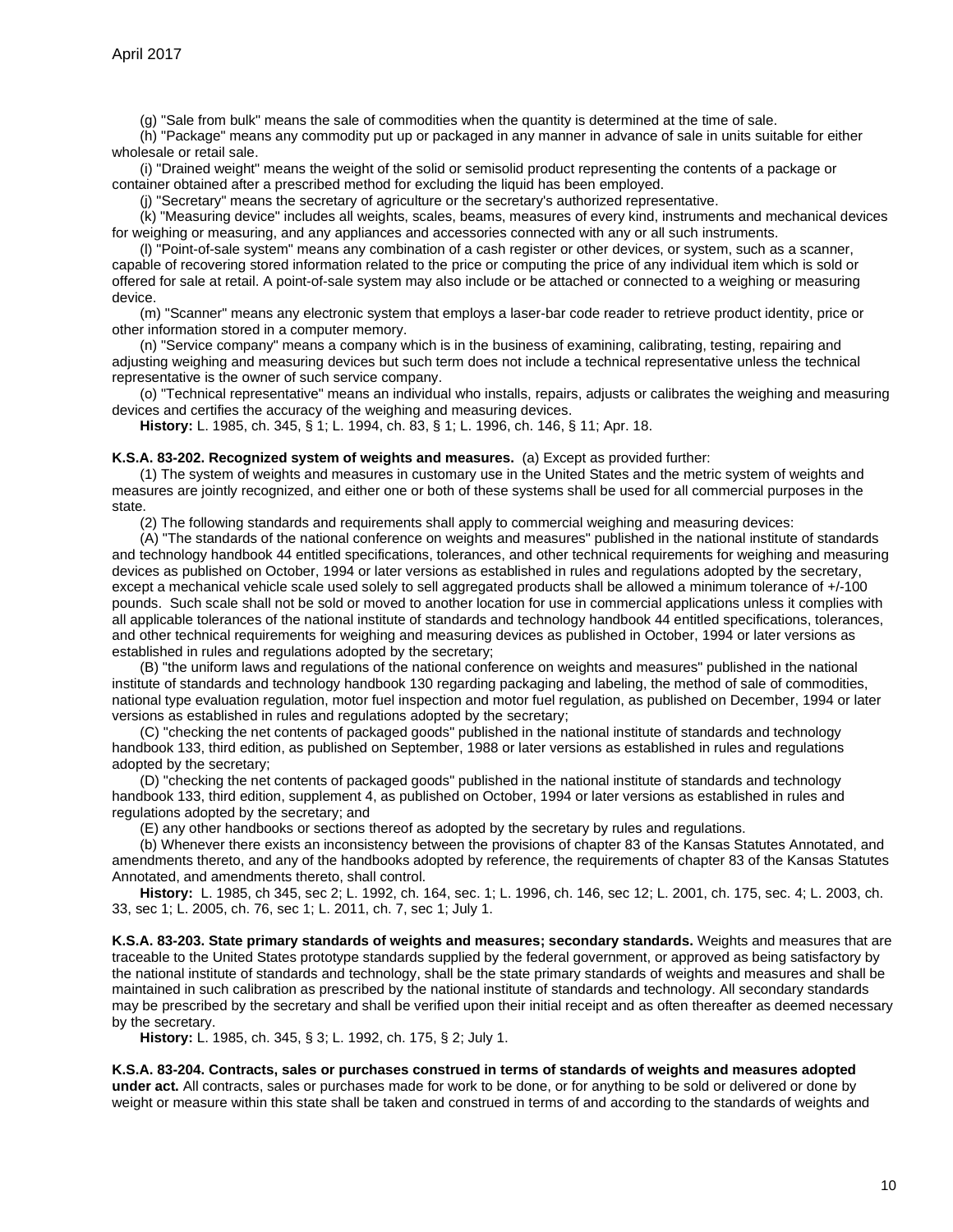(g) "Sale from bulk" means the sale of commodities when the quantity is determined at the time of sale.

(h) "Package" means any commodity put up or packaged in any manner in advance of sale in units suitable for either wholesale or retail sale.

(i) "Drained weight" means the weight of the solid or semisolid product representing the contents of a package or container obtained after a prescribed method for excluding the liquid has been employed.

(j) "Secretary" means the secretary of agriculture or the secretary's authorized representative.

(k) "Measuring device" includes all weights, scales, beams, measures of every kind, instruments and mechanical devices for weighing or measuring, and any appliances and accessories connected with any or all such instruments.

(l) "Point-of-sale system" means any combination of a cash register or other devices, or system, such as a scanner, capable of recovering stored information related to the price or computing the price of any individual item which is sold or offered for sale at retail. A point-of-sale system may also include or be attached or connected to a weighing or measuring device.

(m) "Scanner" means any electronic system that employs a laser-bar code reader to retrieve product identity, price or other information stored in a computer memory.

(n) "Service company" means a company which is in the business of examining, calibrating, testing, repairing and adjusting weighing and measuring devices but such term does not include a technical representative unless the technical representative is the owner of such service company.

(o) "Technical representative" means an individual who installs, repairs, adjusts or calibrates the weighing and measuring devices and certifies the accuracy of the weighing and measuring devices.

**History:** L. 1985, ch. 345, § 1; L. 1994, ch. 83, § 1; L. 1996, ch. 146, § 11; Apr. 18.

#### <span id="page-9-0"></span>**K.S.A. 83-202. Recognized system of weights and measures.** (a) Except as provided further:

(1) The system of weights and measures in customary use in the United States and the metric system of weights and measures are jointly recognized, and either one or both of these systems shall be used for all commercial purposes in the state.

(2) The following standards and requirements shall apply to commercial weighing and measuring devices:

(A) "The standards of the national conference on weights and measures" published in the national institute of standards and technology handbook 44 entitled specifications, tolerances, and other technical requirements for weighing and measuring devices as published on October, 1994 or later versions as established in rules and regulations adopted by the secretary, except a mechanical vehicle scale used solely to sell aggregated products shall be allowed a minimum tolerance of +/-100 pounds. Such scale shall not be sold or moved to another location for use in commercial applications unless it complies with all applicable tolerances of the national institute of standards and technology handbook 44 entitled specifications, tolerances, and other technical requirements for weighing and measuring devices as published in October, 1994 or later versions as established in rules and regulations adopted by the secretary;

(B) "the uniform laws and regulations of the national conference on weights and measures" published in the national institute of standards and technology handbook 130 regarding packaging and labeling, the method of sale of commodities, national type evaluation regulation, motor fuel inspection and motor fuel regulation, as published on December, 1994 or later versions as established in rules and regulations adopted by the secretary;

(C) "checking the net contents of packaged goods" published in the national institute of standards and technology handbook 133, third edition, as published on September, 1988 or later versions as established in rules and regulations adopted by the secretary;

(D) "checking the net contents of packaged goods" published in the national institute of standards and technology handbook 133, third edition, supplement 4, as published on October, 1994 or later versions as established in rules and regulations adopted by the secretary; and

(E) any other handbooks or sections thereof as adopted by the secretary by rules and regulations.

(b) Whenever there exists an inconsistency between the provisions of chapter 83 of the Kansas Statutes Annotated, and amendments thereto, and any of the handbooks adopted by reference, the requirements of chapter 83 of the Kansas Statutes Annotated, and amendments thereto, shall control.

**History:** L. 1985, ch 345, sec 2; L. 1992, ch. 164, sec. 1; L. 1996, ch. 146, sec 12; L. 2001, ch. 175, sec. 4; L. 2003, ch. 33, sec 1; L. 2005, ch. 76, sec 1; L. 2011, ch. 7, sec 1; July 1.

<span id="page-9-1"></span>**K.S.A. 83-203. State primary standards of weights and measures; secondary standards.** Weights and measures that are traceable to the United States prototype standards supplied by the federal government, or approved as being satisfactory by the national institute of standards and technology, shall be the state primary standards of weights and measures and shall be maintained in such calibration as prescribed by the national institute of standards and technology. All secondary standards may be prescribed by the secretary and shall be verified upon their initial receipt and as often thereafter as deemed necessary by the secretary.

**History:** L. 1985, ch. 345, § 3; L. 1992, ch. 175, § 2; July 1.

## <span id="page-9-2"></span>**K.S.A. 83-204. Contracts, sales or purchases construed in terms of standards of weights and measures adopted**

**under act.** All contracts, sales or purchases made for work to be done, or for anything to be sold or delivered or done by weight or measure within this state shall be taken and construed in terms of and according to the standards of weights and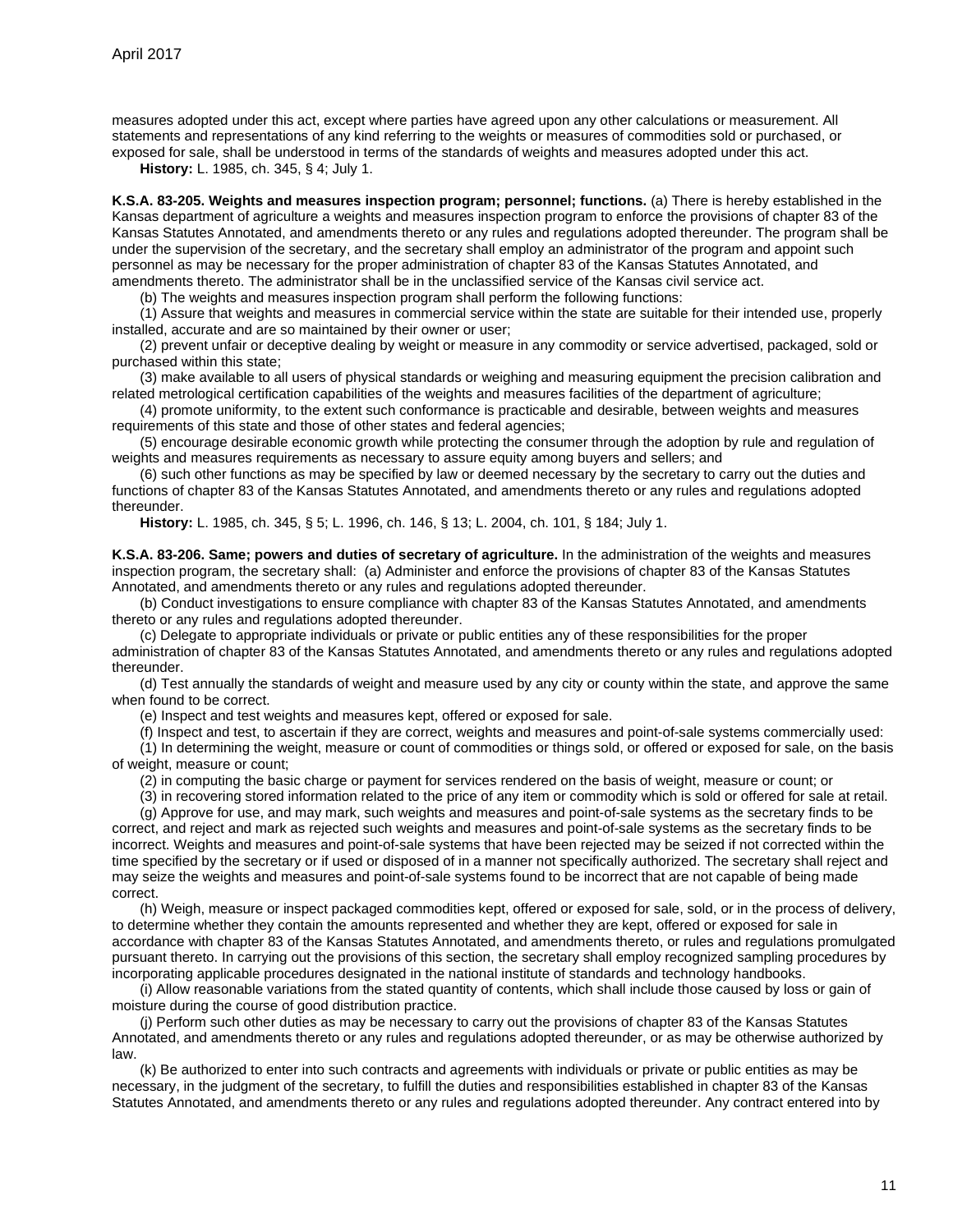measures adopted under this act, except where parties have agreed upon any other calculations or measurement. All statements and representations of any kind referring to the weights or measures of commodities sold or purchased, or exposed for sale, shall be understood in terms of the standards of weights and measures adopted under this act.

**History:** L. 1985, ch. 345, § 4; July 1.

<span id="page-10-0"></span>**K.S.A. 83-205. Weights and measures inspection program; personnel; functions.** (a) There is hereby established in the Kansas department of agriculture a weights and measures inspection program to enforce the provisions of chapter 83 of the Kansas Statutes Annotated, and amendments thereto or any rules and regulations adopted thereunder. The program shall be under the supervision of the secretary, and the secretary shall employ an administrator of the program and appoint such personnel as may be necessary for the proper administration of chapter 83 of the Kansas Statutes Annotated, and amendments thereto. The administrator shall be in the unclassified service of the Kansas civil service act.

(b) The weights and measures inspection program shall perform the following functions:

(1) Assure that weights and measures in commercial service within the state are suitable for their intended use, properly installed, accurate and are so maintained by their owner or user;

(2) prevent unfair or deceptive dealing by weight or measure in any commodity or service advertised, packaged, sold or purchased within this state;

(3) make available to all users of physical standards or weighing and measuring equipment the precision calibration and related metrological certification capabilities of the weights and measures facilities of the department of agriculture;

(4) promote uniformity, to the extent such conformance is practicable and desirable, between weights and measures requirements of this state and those of other states and federal agencies;

(5) encourage desirable economic growth while protecting the consumer through the adoption by rule and regulation of weights and measures requirements as necessary to assure equity among buyers and sellers; and

(6) such other functions as may be specified by law or deemed necessary by the secretary to carry out the duties and functions of chapter 83 of the Kansas Statutes Annotated, and amendments thereto or any rules and regulations adopted thereunder.

**History:** L. 1985, ch. 345, § 5; L. 1996, ch. 146, § 13; L. 2004, ch. 101, § 184; July 1.

<span id="page-10-1"></span>**K.S.A. 83-206. Same; powers and duties of secretary of agriculture.** In the administration of the weights and measures inspection program, the secretary shall: (a) Administer and enforce the provisions of chapter 83 of the Kansas Statutes Annotated, and amendments thereto or any rules and regulations adopted thereunder.

(b) Conduct investigations to ensure compliance with chapter 83 of the Kansas Statutes Annotated, and amendments thereto or any rules and regulations adopted thereunder.

(c) Delegate to appropriate individuals or private or public entities any of these responsibilities for the proper administration of chapter 83 of the Kansas Statutes Annotated, and amendments thereto or any rules and regulations adopted thereunder.

(d) Test annually the standards of weight and measure used by any city or county within the state, and approve the same when found to be correct.

(e) Inspect and test weights and measures kept, offered or exposed for sale.

(f) Inspect and test, to ascertain if they are correct, weights and measures and point-of-sale systems commercially used:

(1) In determining the weight, measure or count of commodities or things sold, or offered or exposed for sale, on the basis of weight, measure or count;

(2) in computing the basic charge or payment for services rendered on the basis of weight, measure or count; or

(3) in recovering stored information related to the price of any item or commodity which is sold or offered for sale at retail.

(g) Approve for use, and may mark, such weights and measures and point-of-sale systems as the secretary finds to be correct, and reject and mark as rejected such weights and measures and point-of-sale systems as the secretary finds to be incorrect. Weights and measures and point-of-sale systems that have been rejected may be seized if not corrected within the time specified by the secretary or if used or disposed of in a manner not specifically authorized. The secretary shall reject and may seize the weights and measures and point-of-sale systems found to be incorrect that are not capable of being made correct.

(h) Weigh, measure or inspect packaged commodities kept, offered or exposed for sale, sold, or in the process of delivery, to determine whether they contain the amounts represented and whether they are kept, offered or exposed for sale in accordance with chapter 83 of the Kansas Statutes Annotated, and amendments thereto, or rules and regulations promulgated pursuant thereto. In carrying out the provisions of this section, the secretary shall employ recognized sampling procedures by incorporating applicable procedures designated in the national institute of standards and technology handbooks.

(i) Allow reasonable variations from the stated quantity of contents, which shall include those caused by loss or gain of moisture during the course of good distribution practice.

(j) Perform such other duties as may be necessary to carry out the provisions of chapter 83 of the Kansas Statutes Annotated, and amendments thereto or any rules and regulations adopted thereunder, or as may be otherwise authorized by law.

(k) Be authorized to enter into such contracts and agreements with individuals or private or public entities as may be necessary, in the judgment of the secretary, to fulfill the duties and responsibilities established in chapter 83 of the Kansas Statutes Annotated, and amendments thereto or any rules and regulations adopted thereunder. Any contract entered into by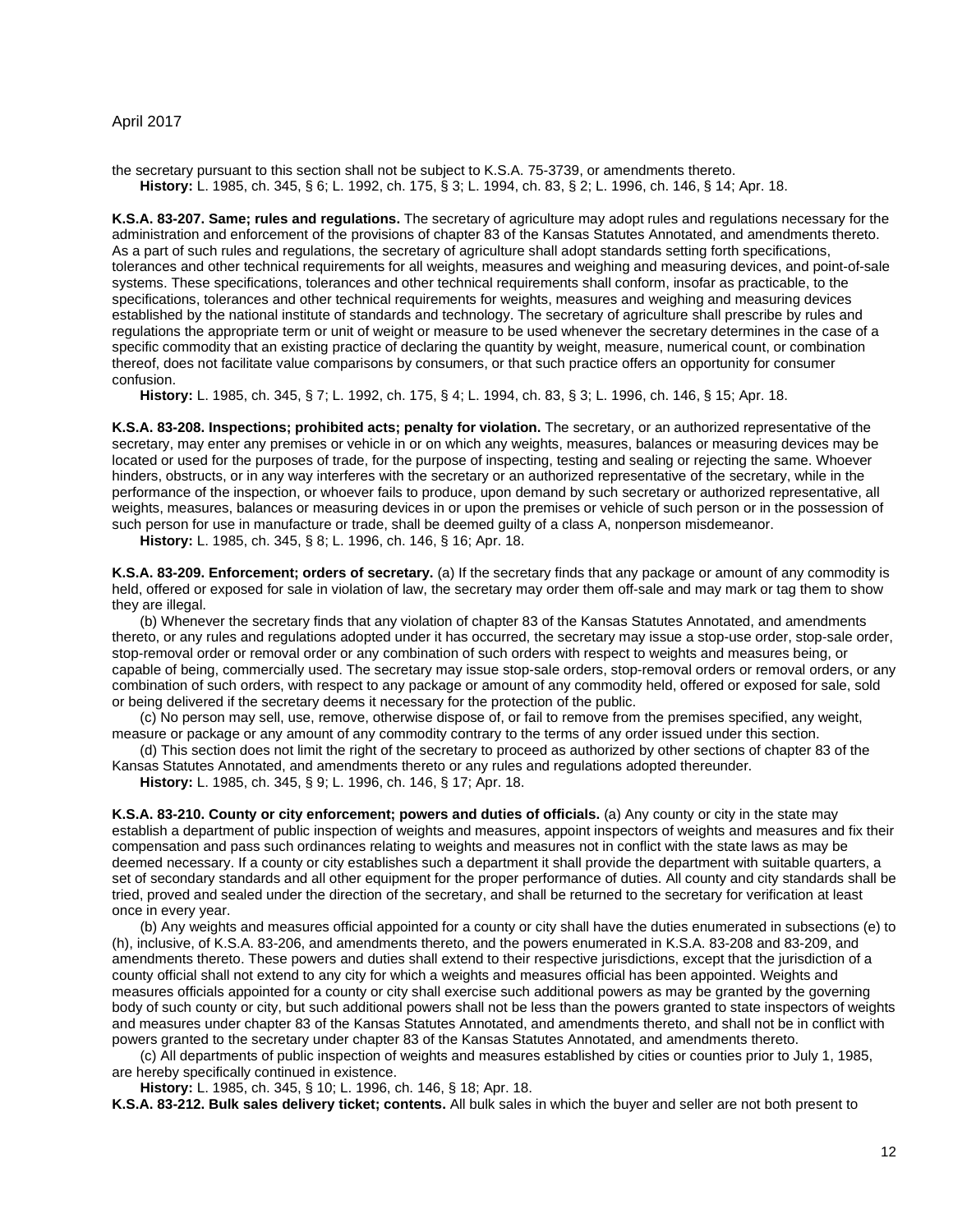the secretary pursuant to this section shall not be subject to K.S.A. 75-3739, or amendments thereto. **History:** L. 1985, ch. 345, § 6; L. 1992, ch. 175, § 3; L. 1994, ch. 83, § 2; L. 1996, ch. 146, § 14; Apr. 18.

<span id="page-11-0"></span>**K.S.A. 83-207. Same; rules and regulations.** The secretary of agriculture may adopt rules and regulations necessary for the administration and enforcement of the provisions of chapter 83 of the Kansas Statutes Annotated, and amendments thereto. As a part of such rules and regulations, the secretary of agriculture shall adopt standards setting forth specifications, tolerances and other technical requirements for all weights, measures and weighing and measuring devices, and point-of-sale systems. These specifications, tolerances and other technical requirements shall conform, insofar as practicable, to the specifications, tolerances and other technical requirements for weights, measures and weighing and measuring devices established by the national institute of standards and technology. The secretary of agriculture shall prescribe by rules and regulations the appropriate term or unit of weight or measure to be used whenever the secretary determines in the case of a specific commodity that an existing practice of declaring the quantity by weight, measure, numerical count, or combination thereof, does not facilitate value comparisons by consumers, or that such practice offers an opportunity for consumer confusion.

**History:** L. 1985, ch. 345, § 7; L. 1992, ch. 175, § 4; L. 1994, ch. 83, § 3; L. 1996, ch. 146, § 15; Apr. 18.

<span id="page-11-1"></span>**K.S.A. 83-208. Inspections; prohibited acts; penalty for violation.** The secretary, or an authorized representative of the secretary, may enter any premises or vehicle in or on which any weights, measures, balances or measuring devices may be located or used for the purposes of trade, for the purpose of inspecting, testing and sealing or rejecting the same. Whoever hinders, obstructs, or in any way interferes with the secretary or an authorized representative of the secretary, while in the performance of the inspection, or whoever fails to produce, upon demand by such secretary or authorized representative, all weights, measures, balances or measuring devices in or upon the premises or vehicle of such person or in the possession of such person for use in manufacture or trade, shall be deemed guilty of a class A, nonperson misdemeanor.

**History:** L. 1985, ch. 345, § 8; L. 1996, ch. 146, § 16; Apr. 18.

<span id="page-11-2"></span>**K.S.A. 83-209. Enforcement; orders of secretary.** (a) If the secretary finds that any package or amount of any commodity is held, offered or exposed for sale in violation of law, the secretary may order them off-sale and may mark or tag them to show they are illegal.

(b) Whenever the secretary finds that any violation of chapter 83 of the Kansas Statutes Annotated, and amendments thereto, or any rules and regulations adopted under it has occurred, the secretary may issue a stop-use order, stop-sale order, stop-removal order or removal order or any combination of such orders with respect to weights and measures being, or capable of being, commercially used. The secretary may issue stop-sale orders, stop-removal orders or removal orders, or any combination of such orders, with respect to any package or amount of any commodity held, offered or exposed for sale, sold or being delivered if the secretary deems it necessary for the protection of the public.

(c) No person may sell, use, remove, otherwise dispose of, or fail to remove from the premises specified, any weight, measure or package or any amount of any commodity contrary to the terms of any order issued under this section.

(d) This section does not limit the right of the secretary to proceed as authorized by other sections of chapter 83 of the Kansas Statutes Annotated, and amendments thereto or any rules and regulations adopted thereunder.

**History:** L. 1985, ch. 345, § 9; L. 1996, ch. 146, § 17; Apr. 18.

<span id="page-11-3"></span>**K.S.A. 83-210. County or city enforcement; powers and duties of officials.** (a) Any county or city in the state may establish a department of public inspection of weights and measures, appoint inspectors of weights and measures and fix their compensation and pass such ordinances relating to weights and measures not in conflict with the state laws as may be deemed necessary. If a county or city establishes such a department it shall provide the department with suitable quarters, a set of secondary standards and all other equipment for the proper performance of duties. All county and city standards shall be tried, proved and sealed under the direction of the secretary, and shall be returned to the secretary for verification at least once in every year.

(b) Any weights and measures official appointed for a county or city shall have the duties enumerated in subsections (e) to (h), inclusive, of K.S.A. 83-206, and amendments thereto, and the powers enumerated in K.S.A. 83-208 and 83-209, and amendments thereto. These powers and duties shall extend to their respective jurisdictions, except that the jurisdiction of a county official shall not extend to any city for which a weights and measures official has been appointed. Weights and measures officials appointed for a county or city shall exercise such additional powers as may be granted by the governing body of such county or city, but such additional powers shall not be less than the powers granted to state inspectors of weights and measures under chapter 83 of the Kansas Statutes Annotated, and amendments thereto, and shall not be in conflict with powers granted to the secretary under chapter 83 of the Kansas Statutes Annotated, and amendments thereto.

(c) All departments of public inspection of weights and measures established by cities or counties prior to July 1, 1985, are hereby specifically continued in existence.

**History:** L. 1985, ch. 345, § 10; L. 1996, ch. 146, § 18; Apr. 18.

<span id="page-11-4"></span>**K.S.A. 83-212. Bulk sales delivery ticket; contents.** All bulk sales in which the buyer and seller are not both present to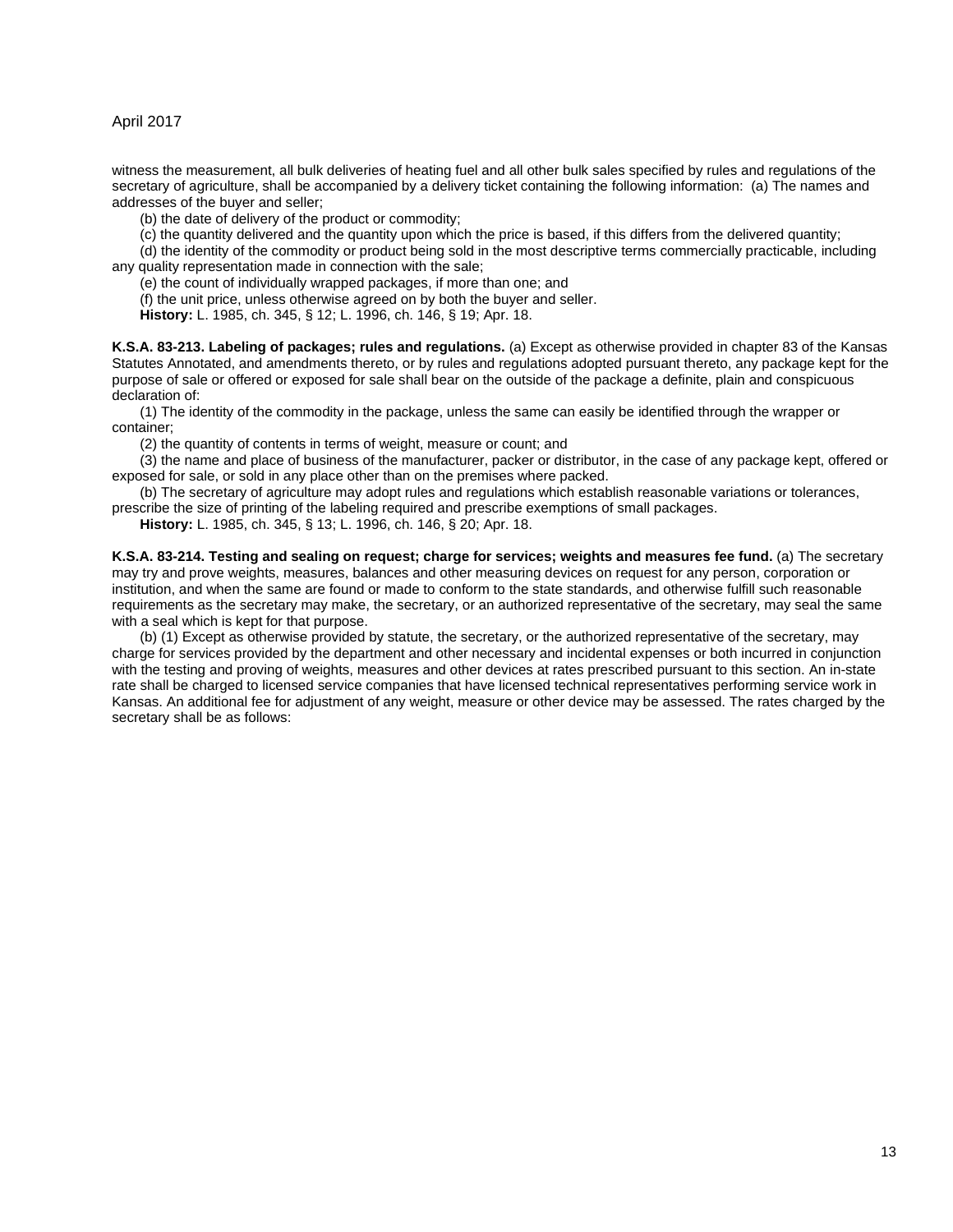witness the measurement, all bulk deliveries of heating fuel and all other bulk sales specified by rules and regulations of the secretary of agriculture, shall be accompanied by a delivery ticket containing the following information: (a) The names and addresses of the buyer and seller;

(b) the date of delivery of the product or commodity;

(c) the quantity delivered and the quantity upon which the price is based, if this differs from the delivered quantity;

(d) the identity of the commodity or product being sold in the most descriptive terms commercially practicable, including any quality representation made in connection with the sale;

(e) the count of individually wrapped packages, if more than one; and

(f) the unit price, unless otherwise agreed on by both the buyer and seller.

**History:** L. 1985, ch. 345, § 12; L. 1996, ch. 146, § 19; Apr. 18.

<span id="page-12-0"></span>**K.S.A. 83-213. Labeling of packages; rules and regulations.** (a) Except as otherwise provided in chapter 83 of the Kansas Statutes Annotated, and amendments thereto, or by rules and regulations adopted pursuant thereto, any package kept for the purpose of sale or offered or exposed for sale shall bear on the outside of the package a definite, plain and conspicuous declaration of:

(1) The identity of the commodity in the package, unless the same can easily be identified through the wrapper or container;

(2) the quantity of contents in terms of weight, measure or count; and

(3) the name and place of business of the manufacturer, packer or distributor, in the case of any package kept, offered or exposed for sale, or sold in any place other than on the premises where packed.

(b) The secretary of agriculture may adopt rules and regulations which establish reasonable variations or tolerances,

prescribe the size of printing of the labeling required and prescribe exemptions of small packages.

**History:** L. 1985, ch. 345, § 13; L. 1996, ch. 146, § 20; Apr. 18.

<span id="page-12-1"></span>**K.S.A. 83-214. Testing and sealing on request; charge for services; weights and measures fee fund.** (a) The secretary may try and prove weights, measures, balances and other measuring devices on request for any person, corporation or institution, and when the same are found or made to conform to the state standards, and otherwise fulfill such reasonable requirements as the secretary may make, the secretary, or an authorized representative of the secretary, may seal the same with a seal which is kept for that purpose.

(b) (1) Except as otherwise provided by statute, the secretary, or the authorized representative of the secretary, may charge for services provided by the department and other necessary and incidental expenses or both incurred in conjunction with the testing and proving of weights, measures and other devices at rates prescribed pursuant to this section. An in-state rate shall be charged to licensed service companies that have licensed technical representatives performing service work in Kansas. An additional fee for adjustment of any weight, measure or other device may be assessed. The rates charged by the secretary shall be as follows: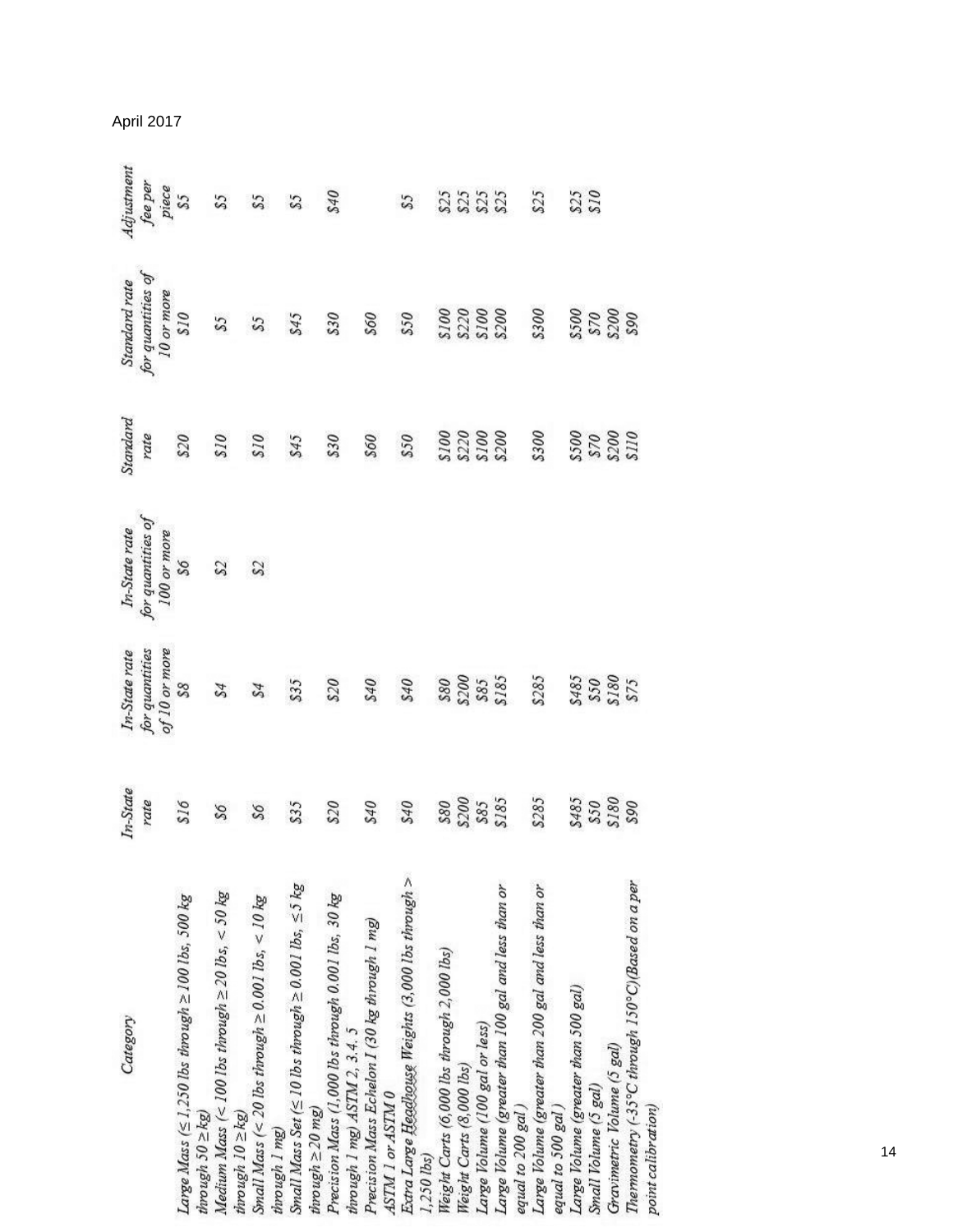| Category                                                                                                           | In-State<br>rate                         | for quantities<br>In-State rate | for quantities of<br>In-State rate | Standard<br>rate     | for quantities of<br>Standard rate | Adjustment             |
|--------------------------------------------------------------------------------------------------------------------|------------------------------------------|---------------------------------|------------------------------------|----------------------|------------------------------------|------------------------|
|                                                                                                                    |                                          | of 10 or more                   | 100 or more                        |                      | 10 or more                         |                        |
| Large Mass ( $\leq$ 1,250 lbs through $\geq$ 100 lbs, 500 kg<br>$through 50 \geq kg$                               | 816                                      | $^{88}$                         | $\mathcal{S}\mathcal{S}$           | 820                  | 013                                | fee per<br>piece<br>S5 |
| Medium Mass (< 100 lbs through $\ge$ 20 lbs, < 50 kg                                                               | $95^{\circ}$                             | \$4                             | $\mathfrak{Z}$                     | 018                  | 55                                 | 53                     |
| Small Mass (< 20 lbs through $\geq$ 0.001 lbs, < 10 kg<br>$through 10 \geq kg$                                     | $95^{\circ}$                             | \$4                             | $^{22}$                            | 078                  | $\mathcal{S}\mathcal{S}$           | 55                     |
| Small Mass Set ( $\leq$ 10 lbs through $\geq$ 0.001 lbs, $\leq$ 5 kg<br>$throw$ $ugh \ge 20$ $mg$<br>through 1 mg) | \$35                                     | \$35                            |                                    | \$45                 | \$45                               | S5                     |
| Precision Mass (1,000 lbs through 0.001 lbs, 30 kg<br>through 1 mg) ASTM 2, 3.4. 5                                 | 820                                      | 820                             |                                    | 830                  | 830                                | 840                    |
| Precision Mass Echelon I (30 kg through 1 mg)<br>ASTM 1 or ASTM 0                                                  | 940                                      | 075                             |                                    | 998                  | 095                                |                        |
| Extra Large Headhouse Weights (3,000 lbs through ><br>1,250 lbs)                                                   | 840                                      | 840                             |                                    | s30                  | 850                                | 55                     |
| Weight Carts (6,000 lbs through 2,000 lbs)                                                                         | $\frac{$80}{$200}$<br>$\frac{$200}{$55}$ | 880                             |                                    | 0075<br>2008<br>2008 | S100<br>S220<br>S200<br>S200       |                        |
| Weight Carts (8,000 lbs)                                                                                           |                                          | <b>8200</b>                     |                                    |                      |                                    | 2333                   |
| Large Volume (100 gal or less)                                                                                     |                                          | S85<br>S185                     |                                    |                      |                                    |                        |
| Large Volume (greater than 100 gal and less than or<br>equal to 200 gal)                                           |                                          |                                 |                                    |                      |                                    |                        |
| Large Volume (greater than 200 gal and less than or<br>equal to 500 gal)                                           | \$285                                    | \$285                           |                                    | 8300                 | 8300                               | \$25                   |
| Large Volume (greater than 500 gal)                                                                                |                                          | \$485                           |                                    |                      |                                    | 825                    |
| Small Volume (5 gal)                                                                                               | S485<br>S50<br>S180                      | S50<br>S180<br>S75              |                                    | 0718<br>0078<br>0078 | 5500<br>570<br>5200<br>590         | 978                    |
| Gravimetric Volume (5 gal)                                                                                         |                                          |                                 |                                    |                      |                                    |                        |
| Thermometry (-35°C through 150°C)(Based on a per<br>point calibration)                                             | 965                                      |                                 |                                    |                      |                                    |                        |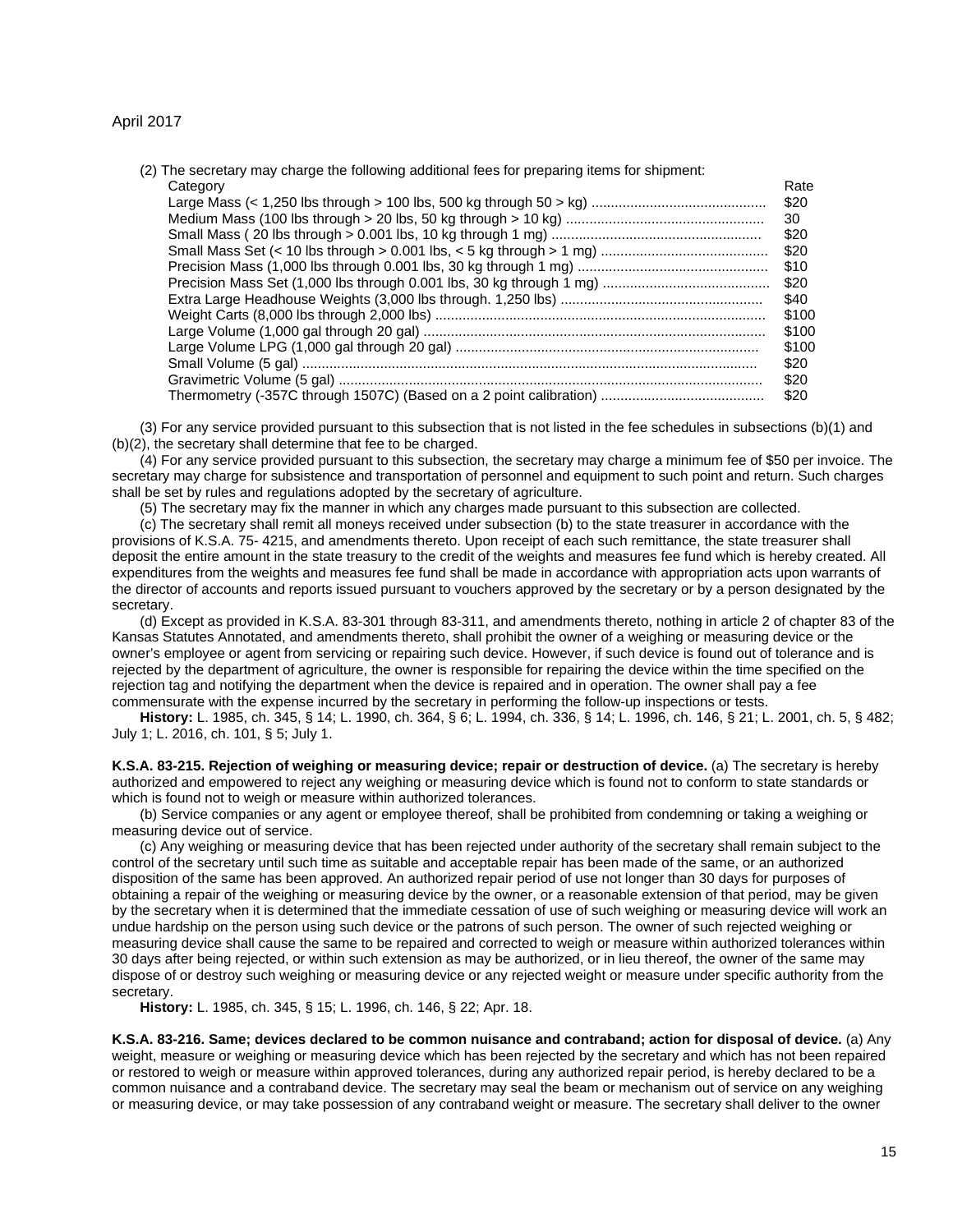| (2) The secretary may charge the following additional fees for preparing items for shipment: |       |
|----------------------------------------------------------------------------------------------|-------|
| Category                                                                                     | Rate  |
|                                                                                              | \$20  |
|                                                                                              | 30    |
|                                                                                              | \$20  |
|                                                                                              | \$20  |
|                                                                                              | \$10  |
|                                                                                              | \$20  |
|                                                                                              | \$40  |
|                                                                                              | \$100 |
|                                                                                              | \$100 |
|                                                                                              | \$100 |
|                                                                                              | \$20  |
|                                                                                              | \$20  |
|                                                                                              | \$20  |
|                                                                                              |       |

(3) For any service provided pursuant to this subsection that is not listed in the fee schedules in subsections (b)(1) and (b)(2), the secretary shall determine that fee to be charged.

(4) For any service provided pursuant to this subsection, the secretary may charge a minimum fee of \$50 per invoice. The secretary may charge for subsistence and transportation of personnel and equipment to such point and return. Such charges shall be set by rules and regulations adopted by the secretary of agriculture.

(5) The secretary may fix the manner in which any charges made pursuant to this subsection are collected.

(c) The secretary shall remit all moneys received under subsection (b) to the state treasurer in accordance with the provisions of K.S.A. 75- 4215, and amendments thereto. Upon receipt of each such remittance, the state treasurer shall deposit the entire amount in the state treasury to the credit of the weights and measures fee fund which is hereby created. All expenditures from the weights and measures fee fund shall be made in accordance with appropriation acts upon warrants of the director of accounts and reports issued pursuant to vouchers approved by the secretary or by a person designated by the secretary.

(d) Except as provided in K.S.A. 83-301 through 83-311, and amendments thereto, nothing in article 2 of chapter 83 of the Kansas Statutes Annotated, and amendments thereto, shall prohibit the owner of a weighing or measuring device or the owner's employee or agent from servicing or repairing such device. However, if such device is found out of tolerance and is rejected by the department of agriculture, the owner is responsible for repairing the device within the time specified on the rejection tag and notifying the department when the device is repaired and in operation. The owner shall pay a fee commensurate with the expense incurred by the secretary in performing the follow-up inspections or tests.

**History:** L. 1985, ch. 345, § 14; L. 1990, ch. 364, § 6; L. 1994, ch. 336, § 14; L. 1996, ch. 146, § 21; L. 2001, ch. 5, § 482; July 1; L. 2016, ch. 101, § 5; July 1.

<span id="page-14-0"></span>**K.S.A. 83-215. Rejection of weighing or measuring device; repair or destruction of device.** (a) The secretary is hereby authorized and empowered to reject any weighing or measuring device which is found not to conform to state standards or which is found not to weigh or measure within authorized tolerances.

(b) Service companies or any agent or employee thereof, shall be prohibited from condemning or taking a weighing or measuring device out of service.

(c) Any weighing or measuring device that has been rejected under authority of the secretary shall remain subject to the control of the secretary until such time as suitable and acceptable repair has been made of the same, or an authorized disposition of the same has been approved. An authorized repair period of use not longer than 30 days for purposes of obtaining a repair of the weighing or measuring device by the owner, or a reasonable extension of that period, may be given by the secretary when it is determined that the immediate cessation of use of such weighing or measuring device will work an undue hardship on the person using such device or the patrons of such person. The owner of such rejected weighing or measuring device shall cause the same to be repaired and corrected to weigh or measure within authorized tolerances within 30 days after being rejected, or within such extension as may be authorized, or in lieu thereof, the owner of the same may dispose of or destroy such weighing or measuring device or any rejected weight or measure under specific authority from the secretary.

**History:** L. 1985, ch. 345, § 15; L. 1996, ch. 146, § 22; Apr. 18.

<span id="page-14-1"></span>**K.S.A. 83-216. Same; devices declared to be common nuisance and contraband; action for disposal of device.** (a) Any weight, measure or weighing or measuring device which has been rejected by the secretary and which has not been repaired or restored to weigh or measure within approved tolerances, during any authorized repair period, is hereby declared to be a common nuisance and a contraband device. The secretary may seal the beam or mechanism out of service on any weighing or measuring device, or may take possession of any contraband weight or measure. The secretary shall deliver to the owner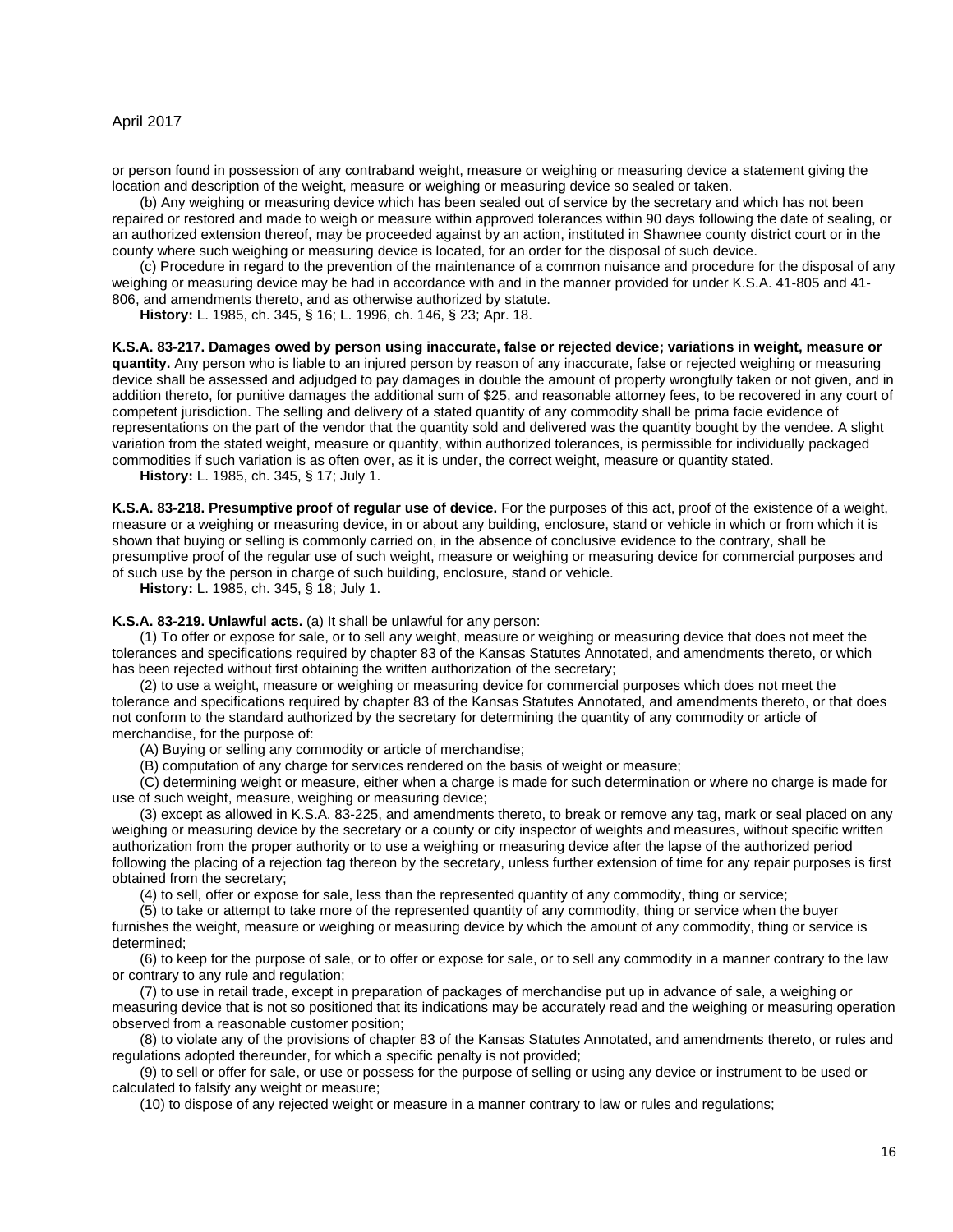or person found in possession of any contraband weight, measure or weighing or measuring device a statement giving the location and description of the weight, measure or weighing or measuring device so sealed or taken.

(b) Any weighing or measuring device which has been sealed out of service by the secretary and which has not been repaired or restored and made to weigh or measure within approved tolerances within 90 days following the date of sealing, or an authorized extension thereof, may be proceeded against by an action, instituted in Shawnee county district court or in the county where such weighing or measuring device is located, for an order for the disposal of such device.

(c) Procedure in regard to the prevention of the maintenance of a common nuisance and procedure for the disposal of any weighing or measuring device may be had in accordance with and in the manner provided for under K.S.A. 41-805 and 41- 806, and amendments thereto, and as otherwise authorized by statute.

**History:** L. 1985, ch. 345, § 16; L. 1996, ch. 146, § 23; Apr. 18.

#### <span id="page-15-0"></span>**K.S.A. 83-217. Damages owed by person using inaccurate, false or rejected device; variations in weight, measure or**

**quantity.** Any person who is liable to an injured person by reason of any inaccurate, false or rejected weighing or measuring device shall be assessed and adjudged to pay damages in double the amount of property wrongfully taken or not given, and in addition thereto, for punitive damages the additional sum of \$25, and reasonable attorney fees, to be recovered in any court of competent jurisdiction. The selling and delivery of a stated quantity of any commodity shall be prima facie evidence of representations on the part of the vendor that the quantity sold and delivered was the quantity bought by the vendee. A slight variation from the stated weight, measure or quantity, within authorized tolerances, is permissible for individually packaged commodities if such variation is as often over, as it is under, the correct weight, measure or quantity stated.

**History:** L. 1985, ch. 345, § 17; July 1.

<span id="page-15-1"></span>**K.S.A. 83-218. Presumptive proof of regular use of device.** For the purposes of this act, proof of the existence of a weight, measure or a weighing or measuring device, in or about any building, enclosure, stand or vehicle in which or from which it is shown that buying or selling is commonly carried on, in the absence of conclusive evidence to the contrary, shall be presumptive proof of the regular use of such weight, measure or weighing or measuring device for commercial purposes and of such use by the person in charge of such building, enclosure, stand or vehicle.

**History:** L. 1985, ch. 345, § 18; July 1.

<span id="page-15-2"></span>**K.S.A. 83-219. Unlawful acts.** (a) It shall be unlawful for any person:

(1) To offer or expose for sale, or to sell any weight, measure or weighing or measuring device that does not meet the tolerances and specifications required by chapter 83 of the Kansas Statutes Annotated, and amendments thereto, or which has been rejected without first obtaining the written authorization of the secretary;

(2) to use a weight, measure or weighing or measuring device for commercial purposes which does not meet the tolerance and specifications required by chapter 83 of the Kansas Statutes Annotated, and amendments thereto, or that does not conform to the standard authorized by the secretary for determining the quantity of any commodity or article of merchandise, for the purpose of:

(A) Buying or selling any commodity or article of merchandise;

(B) computation of any charge for services rendered on the basis of weight or measure;

(C) determining weight or measure, either when a charge is made for such determination or where no charge is made for use of such weight, measure, weighing or measuring device;

(3) except as allowed in K.S.A. 83-225, and amendments thereto, to break or remove any tag, mark or seal placed on any weighing or measuring device by the secretary or a county or city inspector of weights and measures, without specific written authorization from the proper authority or to use a weighing or measuring device after the lapse of the authorized period following the placing of a rejection tag thereon by the secretary, unless further extension of time for any repair purposes is first obtained from the secretary;

(4) to sell, offer or expose for sale, less than the represented quantity of any commodity, thing or service;

(5) to take or attempt to take more of the represented quantity of any commodity, thing or service when the buyer furnishes the weight, measure or weighing or measuring device by which the amount of any commodity, thing or service is determined;

(6) to keep for the purpose of sale, or to offer or expose for sale, or to sell any commodity in a manner contrary to the law or contrary to any rule and regulation;

(7) to use in retail trade, except in preparation of packages of merchandise put up in advance of sale, a weighing or measuring device that is not so positioned that its indications may be accurately read and the weighing or measuring operation observed from a reasonable customer position;

(8) to violate any of the provisions of chapter 83 of the Kansas Statutes Annotated, and amendments thereto, or rules and regulations adopted thereunder, for which a specific penalty is not provided;

(9) to sell or offer for sale, or use or possess for the purpose of selling or using any device or instrument to be used or calculated to falsify any weight or measure;

(10) to dispose of any rejected weight or measure in a manner contrary to law or rules and regulations;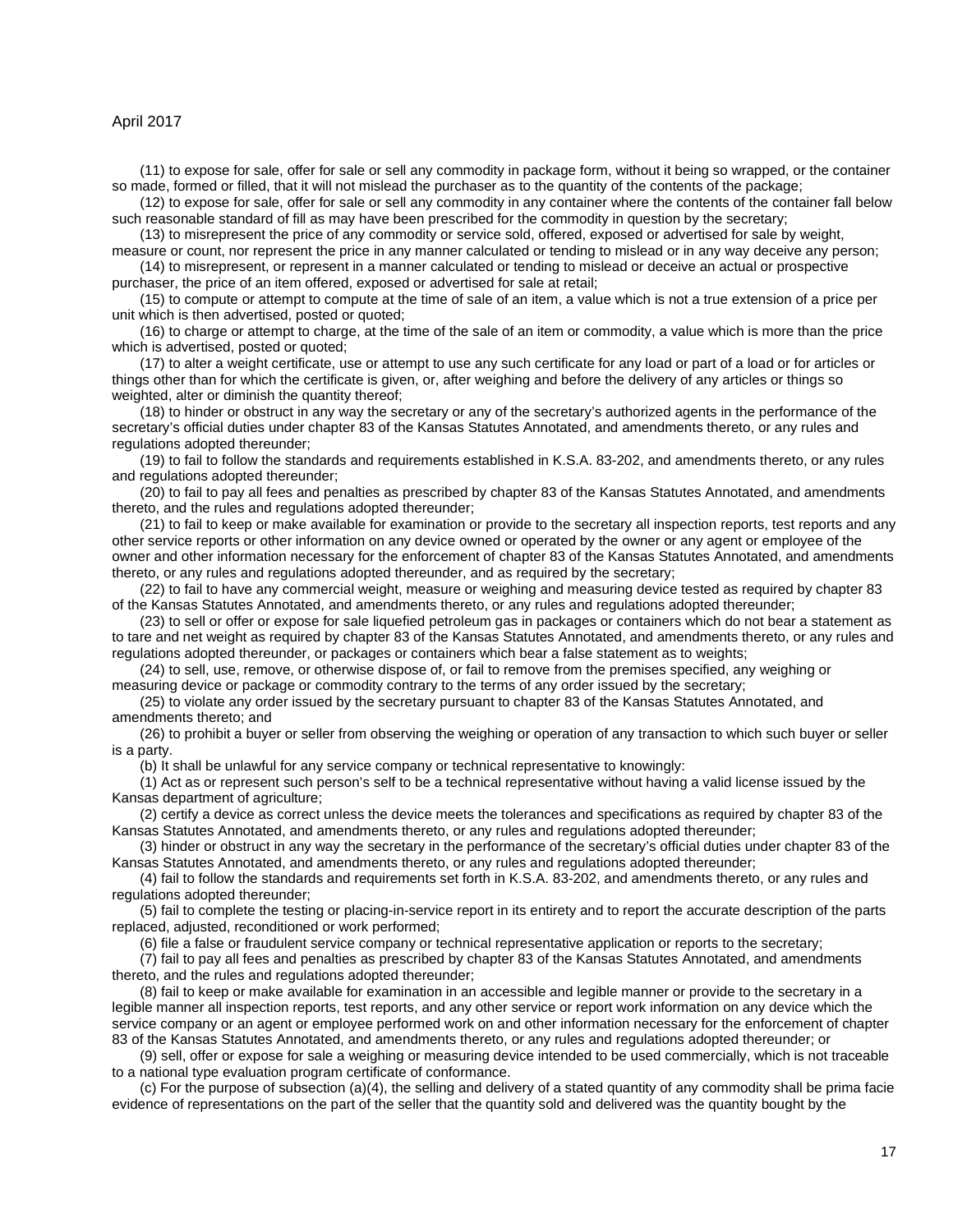(11) to expose for sale, offer for sale or sell any commodity in package form, without it being so wrapped, or the container so made, formed or filled, that it will not mislead the purchaser as to the quantity of the contents of the package;

(12) to expose for sale, offer for sale or sell any commodity in any container where the contents of the container fall below such reasonable standard of fill as may have been prescribed for the commodity in question by the secretary;

(13) to misrepresent the price of any commodity or service sold, offered, exposed or advertised for sale by weight, measure or count, nor represent the price in any manner calculated or tending to mislead or in any way deceive any person;

(14) to misrepresent, or represent in a manner calculated or tending to mislead or deceive an actual or prospective purchaser, the price of an item offered, exposed or advertised for sale at retail;

(15) to compute or attempt to compute at the time of sale of an item, a value which is not a true extension of a price per unit which is then advertised, posted or quoted;

(16) to charge or attempt to charge, at the time of the sale of an item or commodity, a value which is more than the price which is advertised, posted or quoted;

(17) to alter a weight certificate, use or attempt to use any such certificate for any load or part of a load or for articles or things other than for which the certificate is given, or, after weighing and before the delivery of any articles or things so weighted, alter or diminish the quantity thereof;

(18) to hinder or obstruct in any way the secretary or any of the secretary's authorized agents in the performance of the secretary's official duties under chapter 83 of the Kansas Statutes Annotated, and amendments thereto, or any rules and regulations adopted thereunder;

(19) to fail to follow the standards and requirements established in K.S.A. 83-202, and amendments thereto, or any rules and regulations adopted thereunder;

(20) to fail to pay all fees and penalties as prescribed by chapter 83 of the Kansas Statutes Annotated, and amendments thereto, and the rules and regulations adopted thereunder;

(21) to fail to keep or make available for examination or provide to the secretary all inspection reports, test reports and any other service reports or other information on any device owned or operated by the owner or any agent or employee of the owner and other information necessary for the enforcement of chapter 83 of the Kansas Statutes Annotated, and amendments thereto, or any rules and regulations adopted thereunder, and as required by the secretary;

(22) to fail to have any commercial weight, measure or weighing and measuring device tested as required by chapter 83 of the Kansas Statutes Annotated, and amendments thereto, or any rules and regulations adopted thereunder;

(23) to sell or offer or expose for sale liquefied petroleum gas in packages or containers which do not bear a statement as to tare and net weight as required by chapter 83 of the Kansas Statutes Annotated, and amendments thereto, or any rules and regulations adopted thereunder, or packages or containers which bear a false statement as to weights;

(24) to sell, use, remove, or otherwise dispose of, or fail to remove from the premises specified, any weighing or measuring device or package or commodity contrary to the terms of any order issued by the secretary;

(25) to violate any order issued by the secretary pursuant to chapter 83 of the Kansas Statutes Annotated, and amendments thereto; and

(26) to prohibit a buyer or seller from observing the weighing or operation of any transaction to which such buyer or seller is a party.

(b) It shall be unlawful for any service company or technical representative to knowingly:

(1) Act as or represent such person's self to be a technical representative without having a valid license issued by the Kansas department of agriculture;

(2) certify a device as correct unless the device meets the tolerances and specifications as required by chapter 83 of the Kansas Statutes Annotated, and amendments thereto, or any rules and regulations adopted thereunder;

(3) hinder or obstruct in any way the secretary in the performance of the secretary's official duties under chapter 83 of the Kansas Statutes Annotated, and amendments thereto, or any rules and regulations adopted thereunder;

(4) fail to follow the standards and requirements set forth in K.S.A. 83-202, and amendments thereto, or any rules and regulations adopted thereunder;

(5) fail to complete the testing or placing-in-service report in its entirety and to report the accurate description of the parts replaced, adjusted, reconditioned or work performed;

(6) file a false or fraudulent service company or technical representative application or reports to the secretary;

(7) fail to pay all fees and penalties as prescribed by chapter 83 of the Kansas Statutes Annotated, and amendments thereto, and the rules and regulations adopted thereunder;

(8) fail to keep or make available for examination in an accessible and legible manner or provide to the secretary in a legible manner all inspection reports, test reports, and any other service or report work information on any device which the service company or an agent or employee performed work on and other information necessary for the enforcement of chapter 83 of the Kansas Statutes Annotated, and amendments thereto, or any rules and regulations adopted thereunder; or

(9) sell, offer or expose for sale a weighing or measuring device intended to be used commercially, which is not traceable to a national type evaluation program certificate of conformance.

(c) For the purpose of subsection (a)(4), the selling and delivery of a stated quantity of any commodity shall be prima facie evidence of representations on the part of the seller that the quantity sold and delivered was the quantity bought by the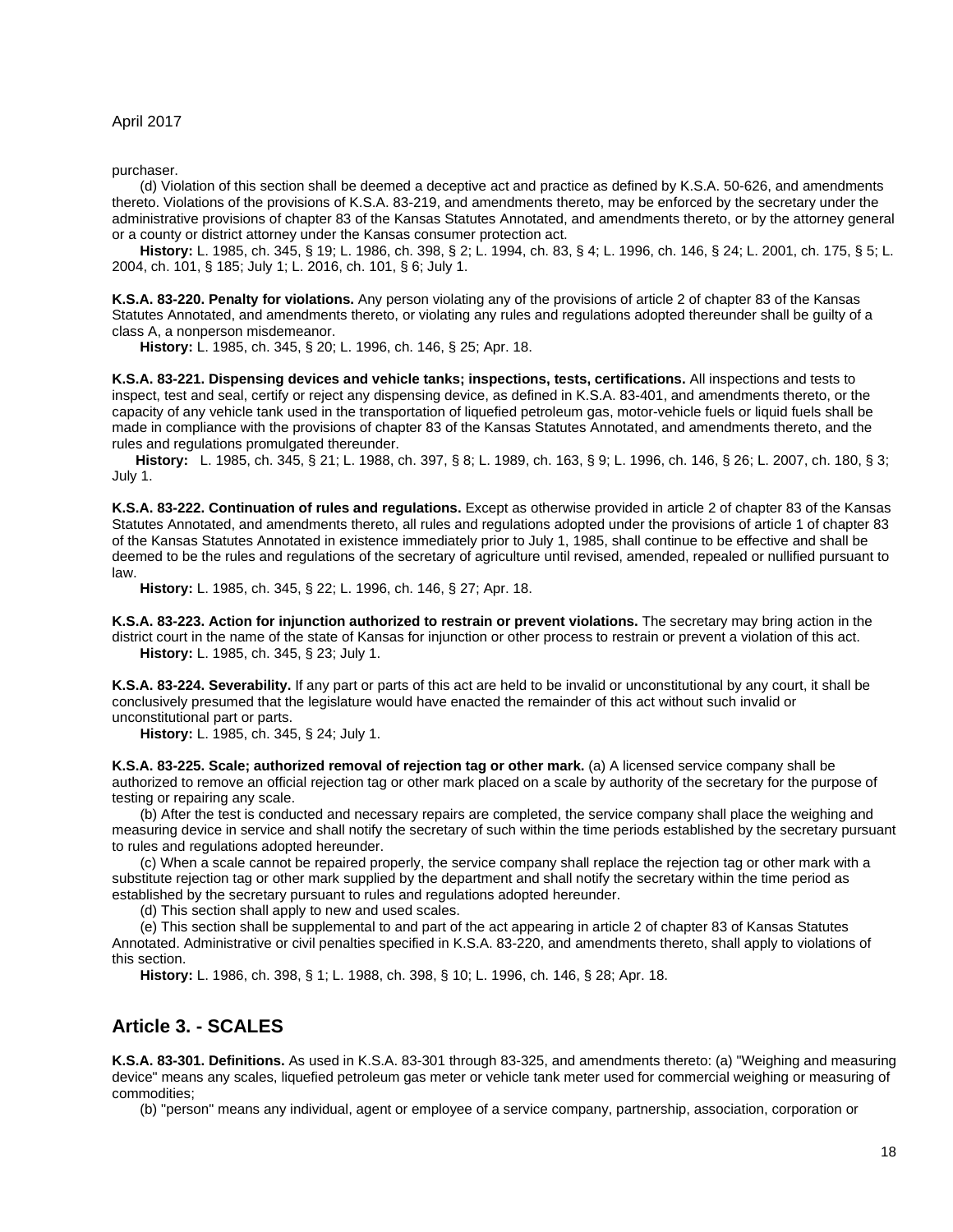purchaser.

(d) Violation of this section shall be deemed a deceptive act and practice as defined by K.S.A. 50-626, and amendments thereto. Violations of the provisions of K.S.A. 83-219, and amendments thereto, may be enforced by the secretary under the administrative provisions of chapter 83 of the Kansas Statutes Annotated, and amendments thereto, or by the attorney general or a county or district attorney under the Kansas consumer protection act.

**History:** L. 1985, ch. 345, § 19; L. 1986, ch. 398, § 2; L. 1994, ch. 83, § 4; L. 1996, ch. 146, § 24; L. 2001, ch. 175, § 5; L. 2004, ch. 101, § 185; July 1; L. 2016, ch. 101, § 6; July 1.

<span id="page-17-0"></span>**K.S.A. 83-220. Penalty for violations.** Any person violating any of the provisions of article 2 of chapter 83 of the Kansas Statutes Annotated, and amendments thereto, or violating any rules and regulations adopted thereunder shall be guilty of a class A, a nonperson misdemeanor.

**History:** L. 1985, ch. 345, § 20; L. 1996, ch. 146, § 25; Apr. 18.

<span id="page-17-1"></span>**K.S.A. 83-221. Dispensing devices and vehicle tanks; inspections, tests, certifications.** All inspections and tests to inspect, test and seal, certify or reject any dispensing device, as defined in K.S.A. 83-401, and amendments thereto, or the capacity of any vehicle tank used in the transportation of liquefied petroleum gas, motor-vehicle fuels or liquid fuels shall be made in compliance with the provisions of chapter 83 of the Kansas Statutes Annotated, and amendments thereto, and the rules and regulations promulgated thereunder.

**History:** L. 1985, ch. 345, § 21; L. 1988, ch. 397, § 8; L. 1989, ch. 163, § 9; L. 1996, ch. 146, § 26; L. 2007, ch. 180, § 3; July 1.

<span id="page-17-2"></span>**K.S.A. 83-222. Continuation of rules and regulations.** Except as otherwise provided in article 2 of chapter 83 of the Kansas Statutes Annotated, and amendments thereto, all rules and regulations adopted under the provisions of article 1 of chapter 83 of the Kansas Statutes Annotated in existence immediately prior to July 1, 1985, shall continue to be effective and shall be deemed to be the rules and regulations of the secretary of agriculture until revised, amended, repealed or nullified pursuant to law.

**History:** L. 1985, ch. 345, § 22; L. 1996, ch. 146, § 27; Apr. 18.

<span id="page-17-3"></span>**K.S.A. 83-223. Action for injunction authorized to restrain or prevent violations.** The secretary may bring action in the district court in the name of the state of Kansas for injunction or other process to restrain or prevent a violation of this act. **History:** L. 1985, ch. 345, § 23; July 1.

<span id="page-17-4"></span>**K.S.A. 83-224. Severability.** If any part or parts of this act are held to be invalid or unconstitutional by any court, it shall be conclusively presumed that the legislature would have enacted the remainder of this act without such invalid or unconstitutional part or parts.

**History:** L. 1985, ch. 345, § 24; July 1.

<span id="page-17-5"></span>**K.S.A. 83-225. Scale; authorized removal of rejection tag or other mark.** (a) A licensed service company shall be authorized to remove an official rejection tag or other mark placed on a scale by authority of the secretary for the purpose of testing or repairing any scale.

(b) After the test is conducted and necessary repairs are completed, the service company shall place the weighing and measuring device in service and shall notify the secretary of such within the time periods established by the secretary pursuant to rules and regulations adopted hereunder.

(c) When a scale cannot be repaired properly, the service company shall replace the rejection tag or other mark with a substitute rejection tag or other mark supplied by the department and shall notify the secretary within the time period as established by the secretary pursuant to rules and regulations adopted hereunder.

(d) This section shall apply to new and used scales.

(e) This section shall be supplemental to and part of the act appearing in article 2 of chapter 83 of Kansas Statutes Annotated. Administrative or civil penalties specified in K.S.A. 83-220, and amendments thereto, shall apply to violations of this section.

**History:** L. 1986, ch. 398, § 1; L. 1988, ch. 398, § 10; L. 1996, ch. 146, § 28; Apr. 18.

## <span id="page-17-6"></span>**Article 3. - SCALES**

**K.S.A. 83-301. Definitions.** As used in K.S.A. 83-301 through 83-325, and amendments thereto: (a) "Weighing and measuring device" means any scales, liquefied petroleum gas meter or vehicle tank meter used for commercial weighing or measuring of commodities;

(b) "person" means any individual, agent or employee of a service company, partnership, association, corporation or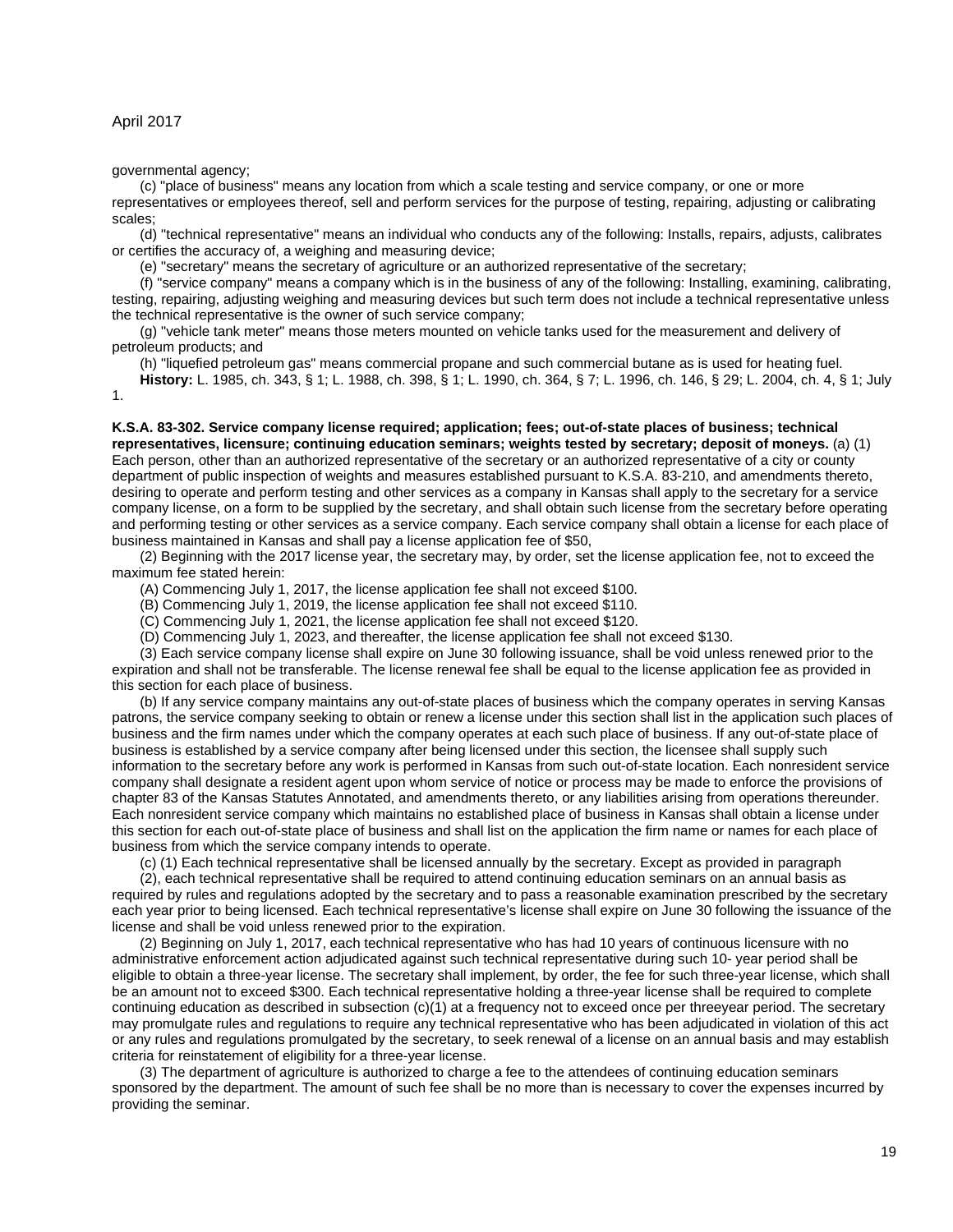governmental agency;

(c) "place of business" means any location from which a scale testing and service company, or one or more representatives or employees thereof, sell and perform services for the purpose of testing, repairing, adjusting or calibrating scales;

(d) "technical representative" means an individual who conducts any of the following: Installs, repairs, adjusts, calibrates or certifies the accuracy of, a weighing and measuring device;

(e) "secretary" means the secretary of agriculture or an authorized representative of the secretary;

(f) "service company" means a company which is in the business of any of the following: Installing, examining, calibrating, testing, repairing, adjusting weighing and measuring devices but such term does not include a technical representative unless the technical representative is the owner of such service company;

(g) "vehicle tank meter" means those meters mounted on vehicle tanks used for the measurement and delivery of petroleum products; and

(h) "liquefied petroleum gas" means commercial propane and such commercial butane as is used for heating fuel. **History:** L. 1985, ch. 343, § 1; L. 1988, ch. 398, § 1; L. 1990, ch. 364, § 7; L. 1996, ch. 146, § 29; L. 2004, ch. 4, § 1; July

1.

<span id="page-18-0"></span>**K.S.A. 83-302. Service company license required; application; fees; out-of-state places of business; technical representatives, licensure; continuing education seminars; weights tested by secretary; deposit of moneys.** (a) (1) Each person, other than an authorized representative of the secretary or an authorized representative of a city or county department of public inspection of weights and measures established pursuant to K.S.A. 83-210, and amendments thereto, desiring to operate and perform testing and other services as a company in Kansas shall apply to the secretary for a service company license, on a form to be supplied by the secretary, and shall obtain such license from the secretary before operating and performing testing or other services as a service company. Each service company shall obtain a license for each place of business maintained in Kansas and shall pay a license application fee of \$50,

(2) Beginning with the 2017 license year, the secretary may, by order, set the license application fee, not to exceed the maximum fee stated herein:

(A) Commencing July 1, 2017, the license application fee shall not exceed \$100.

(B) Commencing July 1, 2019, the license application fee shall not exceed \$110.

(C) Commencing July 1, 2021, the license application fee shall not exceed \$120.

(D) Commencing July 1, 2023, and thereafter, the license application fee shall not exceed \$130.

(3) Each service company license shall expire on June 30 following issuance, shall be void unless renewed prior to the expiration and shall not be transferable. The license renewal fee shall be equal to the license application fee as provided in this section for each place of business.

(b) If any service company maintains any out-of-state places of business which the company operates in serving Kansas patrons, the service company seeking to obtain or renew a license under this section shall list in the application such places of business and the firm names under which the company operates at each such place of business. If any out-of-state place of business is established by a service company after being licensed under this section, the licensee shall supply such information to the secretary before any work is performed in Kansas from such out-of-state location. Each nonresident service company shall designate a resident agent upon whom service of notice or process may be made to enforce the provisions of chapter 83 of the Kansas Statutes Annotated, and amendments thereto, or any liabilities arising from operations thereunder. Each nonresident service company which maintains no established place of business in Kansas shall obtain a license under this section for each out-of-state place of business and shall list on the application the firm name or names for each place of business from which the service company intends to operate.

(c) (1) Each technical representative shall be licensed annually by the secretary. Except as provided in paragraph

(2), each technical representative shall be required to attend continuing education seminars on an annual basis as required by rules and regulations adopted by the secretary and to pass a reasonable examination prescribed by the secretary each year prior to being licensed. Each technical representative's license shall expire on June 30 following the issuance of the license and shall be void unless renewed prior to the expiration.

(2) Beginning on July 1, 2017, each technical representative who has had 10 years of continuous licensure with no administrative enforcement action adjudicated against such technical representative during such 10- year period shall be eligible to obtain a three-year license. The secretary shall implement, by order, the fee for such three-year license, which shall be an amount not to exceed \$300. Each technical representative holding a three-year license shall be required to complete continuing education as described in subsection (c)(1) at a frequency not to exceed once per threeyear period. The secretary may promulgate rules and regulations to require any technical representative who has been adjudicated in violation of this act or any rules and regulations promulgated by the secretary, to seek renewal of a license on an annual basis and may establish criteria for reinstatement of eligibility for a three-year license.

(3) The department of agriculture is authorized to charge a fee to the attendees of continuing education seminars sponsored by the department. The amount of such fee shall be no more than is necessary to cover the expenses incurred by providing the seminar.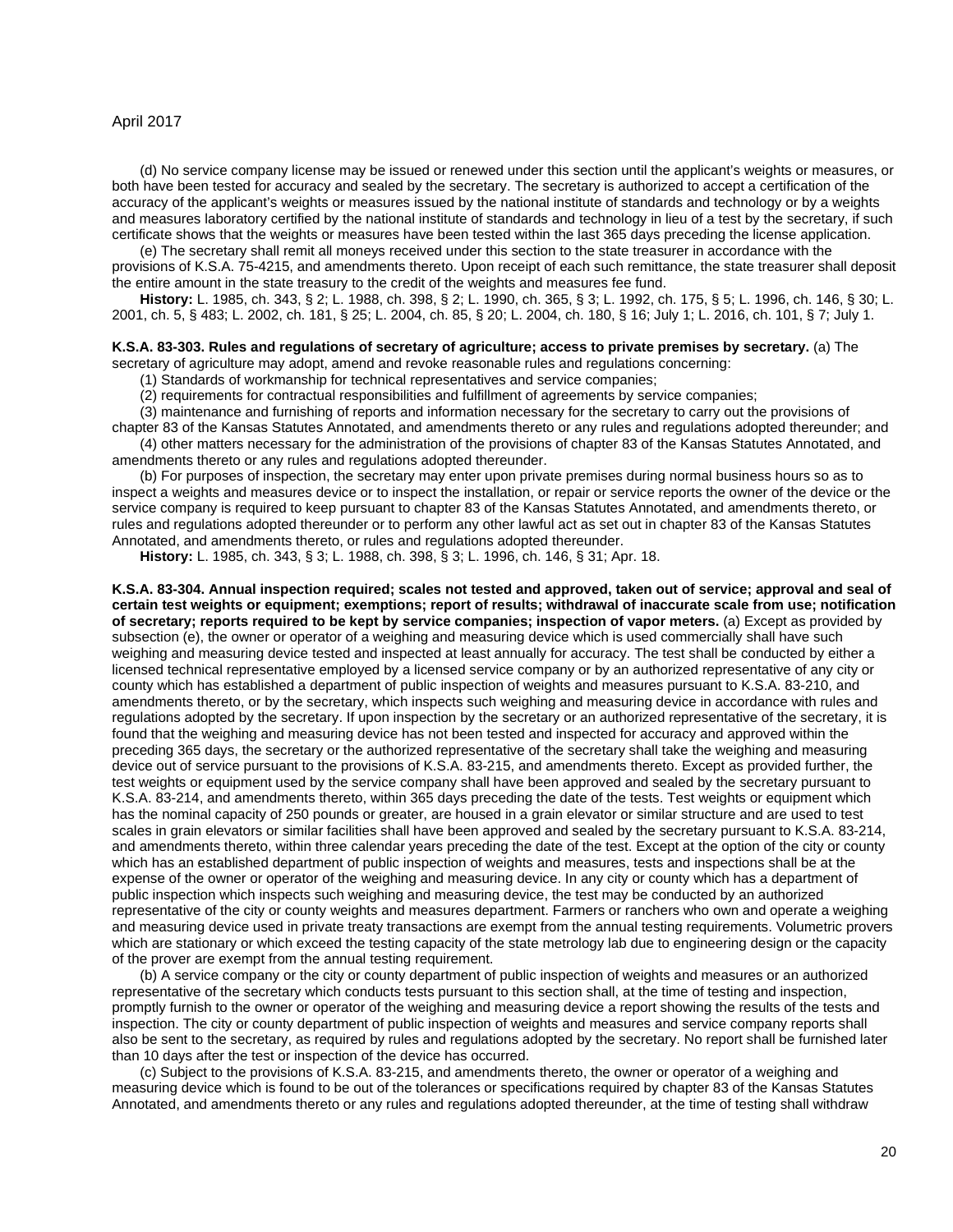(d) No service company license may be issued or renewed under this section until the applicant's weights or measures, or both have been tested for accuracy and sealed by the secretary. The secretary is authorized to accept a certification of the accuracy of the applicant's weights or measures issued by the national institute of standards and technology or by a weights and measures laboratory certified by the national institute of standards and technology in lieu of a test by the secretary, if such certificate shows that the weights or measures have been tested within the last 365 days preceding the license application.

(e) The secretary shall remit all moneys received under this section to the state treasurer in accordance with the provisions of K.S.A. 75-4215, and amendments thereto. Upon receipt of each such remittance, the state treasurer shall deposit the entire amount in the state treasury to the credit of the weights and measures fee fund.

**History:** L. 1985, ch. 343, § 2; L. 1988, ch. 398, § 2; L. 1990, ch. 365, § 3; L. 1992, ch. 175, § 5; L. 1996, ch. 146, § 30; L. 2001, ch. 5, § 483; L. 2002, ch. 181, § 25; L. 2004, ch. 85, § 20; L. 2004, ch. 180, § 16; July 1; L. 2016, ch. 101, § 7; July 1.

## <span id="page-19-0"></span>**K.S.A. 83-303. Rules and regulations of secretary of agriculture; access to private premises by secretary.** (a) The

secretary of agriculture may adopt, amend and revoke reasonable rules and regulations concerning:

(1) Standards of workmanship for technical representatives and service companies;

(2) requirements for contractual responsibilities and fulfillment of agreements by service companies;

(3) maintenance and furnishing of reports and information necessary for the secretary to carry out the provisions of chapter 83 of the Kansas Statutes Annotated, and amendments thereto or any rules and regulations adopted thereunder; and

(4) other matters necessary for the administration of the provisions of chapter 83 of the Kansas Statutes Annotated, and amendments thereto or any rules and regulations adopted thereunder.

(b) For purposes of inspection, the secretary may enter upon private premises during normal business hours so as to inspect a weights and measures device or to inspect the installation, or repair or service reports the owner of the device or the service company is required to keep pursuant to chapter 83 of the Kansas Statutes Annotated, and amendments thereto, or rules and regulations adopted thereunder or to perform any other lawful act as set out in chapter 83 of the Kansas Statutes Annotated, and amendments thereto, or rules and regulations adopted thereunder.

**History:** L. 1985, ch. 343, § 3; L. 1988, ch. 398, § 3; L. 1996, ch. 146, § 31; Apr. 18.

<span id="page-19-1"></span>**K.S.A. 83-304. Annual inspection required; scales not tested and approved, taken out of service; approval and seal of certain test weights or equipment; exemptions; report of results; withdrawal of inaccurate scale from use; notification of secretary; reports required to be kept by service companies; inspection of vapor meters.** (a) Except as provided by subsection (e), the owner or operator of a weighing and measuring device which is used commercially shall have such weighing and measuring device tested and inspected at least annually for accuracy. The test shall be conducted by either a licensed technical representative employed by a licensed service company or by an authorized representative of any city or county which has established a department of public inspection of weights and measures pursuant to K.S.A. 83-210, and amendments thereto, or by the secretary, which inspects such weighing and measuring device in accordance with rules and regulations adopted by the secretary. If upon inspection by the secretary or an authorized representative of the secretary, it is found that the weighing and measuring device has not been tested and inspected for accuracy and approved within the preceding 365 days, the secretary or the authorized representative of the secretary shall take the weighing and measuring device out of service pursuant to the provisions of K.S.A. 83-215, and amendments thereto. Except as provided further, the test weights or equipment used by the service company shall have been approved and sealed by the secretary pursuant to K.S.A. 83-214, and amendments thereto, within 365 days preceding the date of the tests. Test weights or equipment which has the nominal capacity of 250 pounds or greater, are housed in a grain elevator or similar structure and are used to test scales in grain elevators or similar facilities shall have been approved and sealed by the secretary pursuant to K.S.A. 83-214, and amendments thereto, within three calendar years preceding the date of the test. Except at the option of the city or county which has an established department of public inspection of weights and measures, tests and inspections shall be at the expense of the owner or operator of the weighing and measuring device. In any city or county which has a department of public inspection which inspects such weighing and measuring device, the test may be conducted by an authorized representative of the city or county weights and measures department. Farmers or ranchers who own and operate a weighing and measuring device used in private treaty transactions are exempt from the annual testing requirements. Volumetric provers which are stationary or which exceed the testing capacity of the state metrology lab due to engineering design or the capacity of the prover are exempt from the annual testing requirement.

(b) A service company or the city or county department of public inspection of weights and measures or an authorized representative of the secretary which conducts tests pursuant to this section shall, at the time of testing and inspection, promptly furnish to the owner or operator of the weighing and measuring device a report showing the results of the tests and inspection. The city or county department of public inspection of weights and measures and service company reports shall also be sent to the secretary, as required by rules and regulations adopted by the secretary. No report shall be furnished later than 10 days after the test or inspection of the device has occurred.

(c) Subject to the provisions of K.S.A. 83-215, and amendments thereto, the owner or operator of a weighing and measuring device which is found to be out of the tolerances or specifications required by chapter 83 of the Kansas Statutes Annotated, and amendments thereto or any rules and regulations adopted thereunder, at the time of testing shall withdraw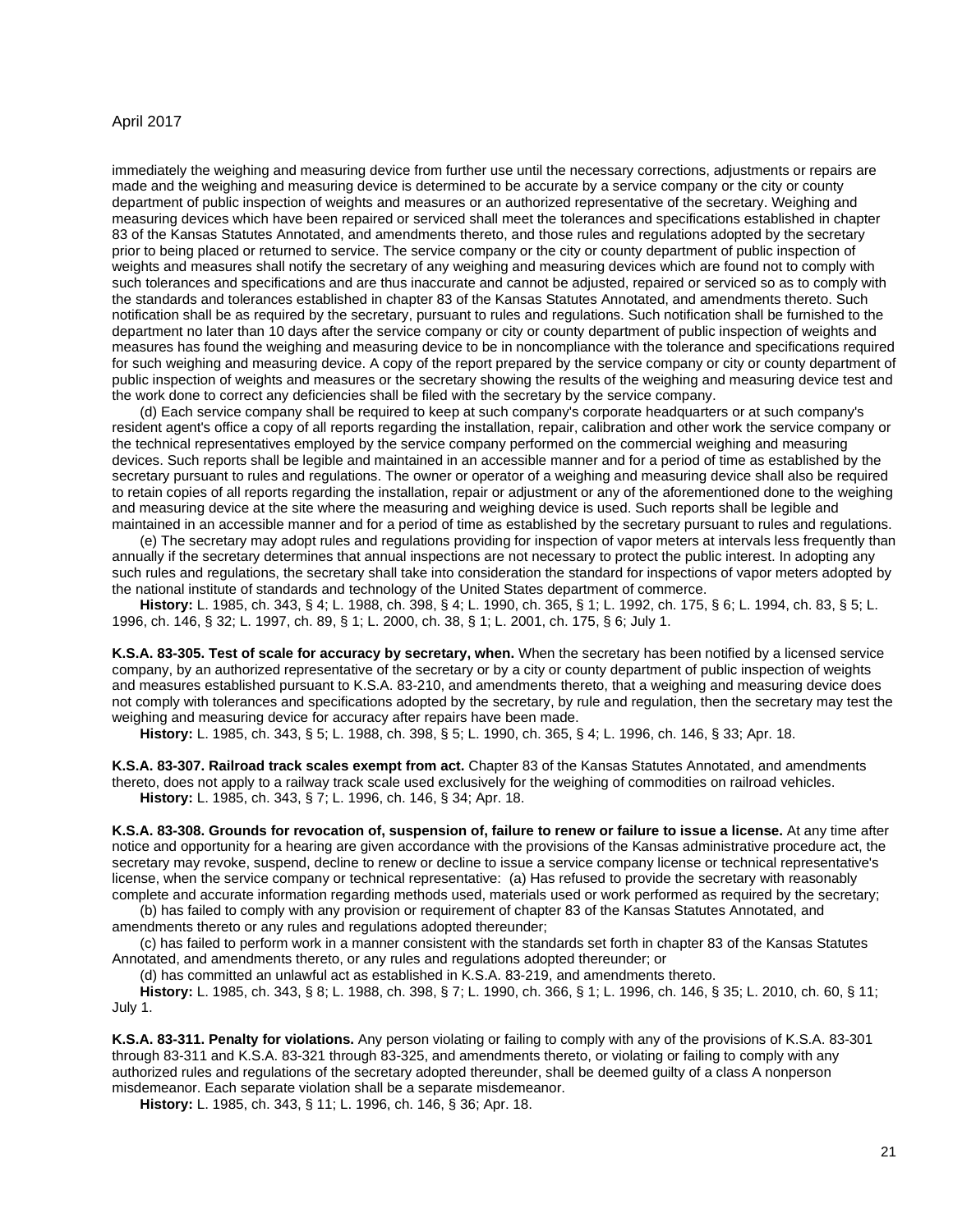immediately the weighing and measuring device from further use until the necessary corrections, adjustments or repairs are made and the weighing and measuring device is determined to be accurate by a service company or the city or county department of public inspection of weights and measures or an authorized representative of the secretary. Weighing and measuring devices which have been repaired or serviced shall meet the tolerances and specifications established in chapter 83 of the Kansas Statutes Annotated, and amendments thereto, and those rules and regulations adopted by the secretary prior to being placed or returned to service. The service company or the city or county department of public inspection of weights and measures shall notify the secretary of any weighing and measuring devices which are found not to comply with such tolerances and specifications and are thus inaccurate and cannot be adjusted, repaired or serviced so as to comply with the standards and tolerances established in chapter 83 of the Kansas Statutes Annotated, and amendments thereto. Such notification shall be as required by the secretary, pursuant to rules and regulations. Such notification shall be furnished to the department no later than 10 days after the service company or city or county department of public inspection of weights and measures has found the weighing and measuring device to be in noncompliance with the tolerance and specifications required for such weighing and measuring device. A copy of the report prepared by the service company or city or county department of public inspection of weights and measures or the secretary showing the results of the weighing and measuring device test and the work done to correct any deficiencies shall be filed with the secretary by the service company.

(d) Each service company shall be required to keep at such company's corporate headquarters or at such company's resident agent's office a copy of all reports regarding the installation, repair, calibration and other work the service company or the technical representatives employed by the service company performed on the commercial weighing and measuring devices. Such reports shall be legible and maintained in an accessible manner and for a period of time as established by the secretary pursuant to rules and regulations. The owner or operator of a weighing and measuring device shall also be required to retain copies of all reports regarding the installation, repair or adjustment or any of the aforementioned done to the weighing and measuring device at the site where the measuring and weighing device is used. Such reports shall be legible and maintained in an accessible manner and for a period of time as established by the secretary pursuant to rules and regulations.

(e) The secretary may adopt rules and regulations providing for inspection of vapor meters at intervals less frequently than annually if the secretary determines that annual inspections are not necessary to protect the public interest. In adopting any such rules and regulations, the secretary shall take into consideration the standard for inspections of vapor meters adopted by the national institute of standards and technology of the United States department of commerce.

**History:** L. 1985, ch. 343, § 4; L. 1988, ch. 398, § 4; L. 1990, ch. 365, § 1; L. 1992, ch. 175, § 6; L. 1994, ch. 83, § 5; L. 1996, ch. 146, § 32; L. 1997, ch. 89, § 1; L. 2000, ch. 38, § 1; L. 2001, ch. 175, § 6; July 1.

<span id="page-20-0"></span>**K.S.A. 83-305. Test of scale for accuracy by secretary, when.** When the secretary has been notified by a licensed service company, by an authorized representative of the secretary or by a city or county department of public inspection of weights and measures established pursuant to K.S.A. 83-210, and amendments thereto, that a weighing and measuring device does not comply with tolerances and specifications adopted by the secretary, by rule and regulation, then the secretary may test the weighing and measuring device for accuracy after repairs have been made.

**History:** L. 1985, ch. 343, § 5; L. 1988, ch. 398, § 5; L. 1990, ch. 365, § 4; L. 1996, ch. 146, § 33; Apr. 18.

<span id="page-20-1"></span>**K.S.A. 83-307. Railroad track scales exempt from act.** Chapter 83 of the Kansas Statutes Annotated, and amendments thereto, does not apply to a railway track scale used exclusively for the weighing of commodities on railroad vehicles. **History:** L. 1985, ch. 343, § 7; L. 1996, ch. 146, § 34; Apr. 18.

<span id="page-20-2"></span>**K.S.A. 83-308. Grounds for revocation of, suspension of, failure to renew or failure to issue a license.** At any time after notice and opportunity for a hearing are given accordance with the provisions of the Kansas administrative procedure act, the secretary may revoke, suspend, decline to renew or decline to issue a service company license or technical representative's license, when the service company or technical representative: (a) Has refused to provide the secretary with reasonably complete and accurate information regarding methods used, materials used or work performed as required by the secretary;

(b) has failed to comply with any provision or requirement of chapter 83 of the Kansas Statutes Annotated, and amendments thereto or any rules and regulations adopted thereunder;

(c) has failed to perform work in a manner consistent with the standards set forth in chapter 83 of the Kansas Statutes Annotated, and amendments thereto, or any rules and regulations adopted thereunder; or

(d) has committed an unlawful act as established in K.S.A. 83-219, and amendments thereto.

**History:** L. 1985, ch. 343, § 8; L. 1988, ch. 398, § 7; L. 1990, ch. 366, § 1; L. 1996, ch. 146, § 35; L. 2010, ch. 60, § 11; July 1.

<span id="page-20-3"></span>**K.S.A. 83-311. Penalty for violations.** Any person violating or failing to comply with any of the provisions of K.S.A. 83-301 through 83-311 and K.S.A. 83-321 through 83-325, and amendments thereto, or violating or failing to comply with any authorized rules and regulations of the secretary adopted thereunder, shall be deemed guilty of a class A nonperson misdemeanor. Each separate violation shall be a separate misdemeanor.

**History:** L. 1985, ch. 343, § 11; L. 1996, ch. 146, § 36; Apr. 18.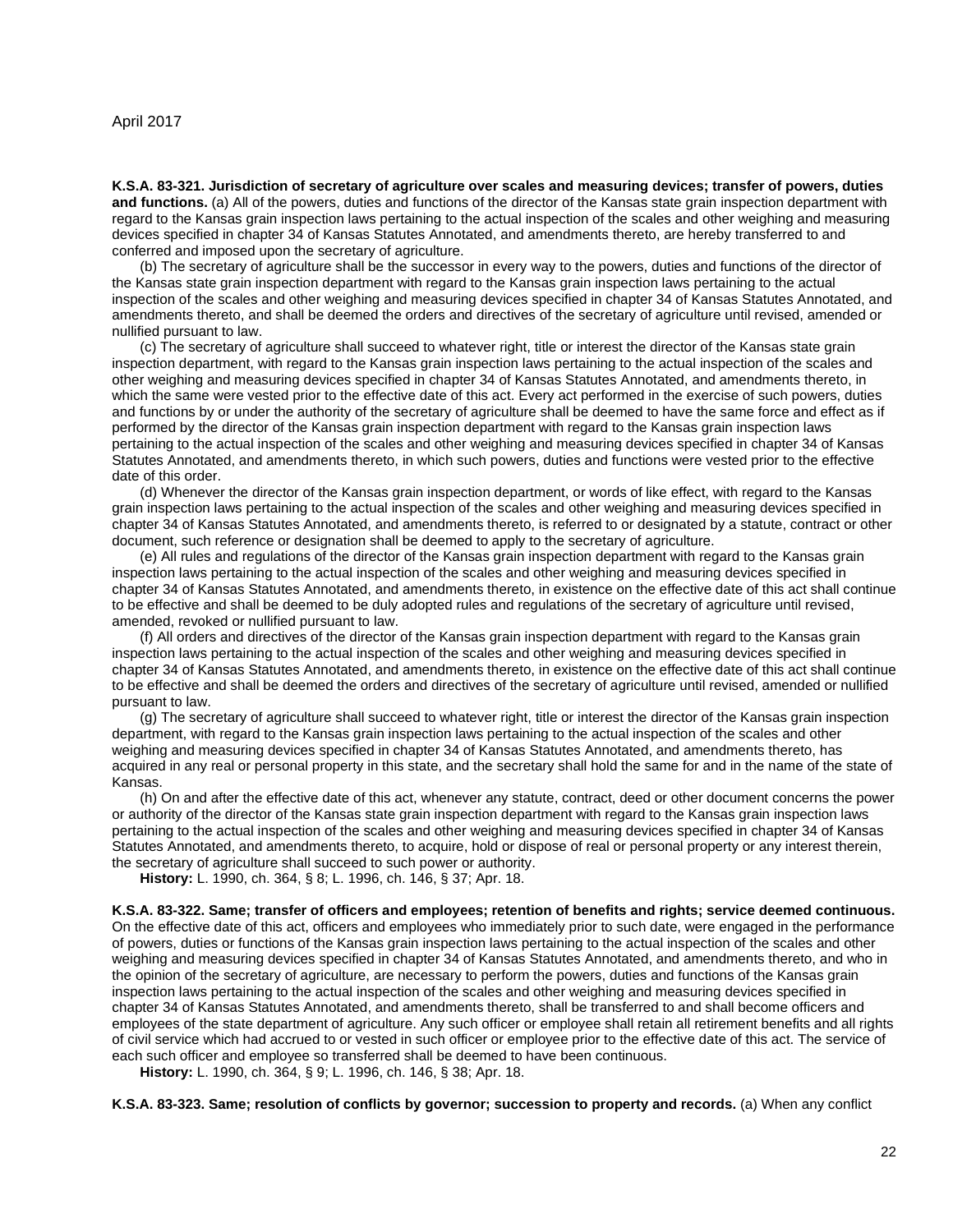<span id="page-21-0"></span>**K.S.A. 83-321. Jurisdiction of secretary of agriculture over scales and measuring devices; transfer of powers, duties and functions.** (a) All of the powers, duties and functions of the director of the Kansas state grain inspection department with regard to the Kansas grain inspection laws pertaining to the actual inspection of the scales and other weighing and measuring devices specified in chapter 34 of Kansas Statutes Annotated, and amendments thereto, are hereby transferred to and conferred and imposed upon the secretary of agriculture.

(b) The secretary of agriculture shall be the successor in every way to the powers, duties and functions of the director of the Kansas state grain inspection department with regard to the Kansas grain inspection laws pertaining to the actual inspection of the scales and other weighing and measuring devices specified in chapter 34 of Kansas Statutes Annotated, and amendments thereto, and shall be deemed the orders and directives of the secretary of agriculture until revised, amended or nullified pursuant to law.

(c) The secretary of agriculture shall succeed to whatever right, title or interest the director of the Kansas state grain inspection department, with regard to the Kansas grain inspection laws pertaining to the actual inspection of the scales and other weighing and measuring devices specified in chapter 34 of Kansas Statutes Annotated, and amendments thereto, in which the same were vested prior to the effective date of this act. Every act performed in the exercise of such powers, duties and functions by or under the authority of the secretary of agriculture shall be deemed to have the same force and effect as if performed by the director of the Kansas grain inspection department with regard to the Kansas grain inspection laws pertaining to the actual inspection of the scales and other weighing and measuring devices specified in chapter 34 of Kansas Statutes Annotated, and amendments thereto, in which such powers, duties and functions were vested prior to the effective date of this order.

(d) Whenever the director of the Kansas grain inspection department, or words of like effect, with regard to the Kansas grain inspection laws pertaining to the actual inspection of the scales and other weighing and measuring devices specified in chapter 34 of Kansas Statutes Annotated, and amendments thereto, is referred to or designated by a statute, contract or other document, such reference or designation shall be deemed to apply to the secretary of agriculture.

(e) All rules and regulations of the director of the Kansas grain inspection department with regard to the Kansas grain inspection laws pertaining to the actual inspection of the scales and other weighing and measuring devices specified in chapter 34 of Kansas Statutes Annotated, and amendments thereto, in existence on the effective date of this act shall continue to be effective and shall be deemed to be duly adopted rules and regulations of the secretary of agriculture until revised, amended, revoked or nullified pursuant to law.

(f) All orders and directives of the director of the Kansas grain inspection department with regard to the Kansas grain inspection laws pertaining to the actual inspection of the scales and other weighing and measuring devices specified in chapter 34 of Kansas Statutes Annotated, and amendments thereto, in existence on the effective date of this act shall continue to be effective and shall be deemed the orders and directives of the secretary of agriculture until revised, amended or nullified pursuant to law.

(g) The secretary of agriculture shall succeed to whatever right, title or interest the director of the Kansas grain inspection department, with regard to the Kansas grain inspection laws pertaining to the actual inspection of the scales and other weighing and measuring devices specified in chapter 34 of Kansas Statutes Annotated, and amendments thereto, has acquired in any real or personal property in this state, and the secretary shall hold the same for and in the name of the state of Kansas.

(h) On and after the effective date of this act, whenever any statute, contract, deed or other document concerns the power or authority of the director of the Kansas state grain inspection department with regard to the Kansas grain inspection laws pertaining to the actual inspection of the scales and other weighing and measuring devices specified in chapter 34 of Kansas Statutes Annotated, and amendments thereto, to acquire, hold or dispose of real or personal property or any interest therein, the secretary of agriculture shall succeed to such power or authority.

**History:** L. 1990, ch. 364, § 8; L. 1996, ch. 146, § 37; Apr. 18.

<span id="page-21-1"></span>**K.S.A. 83-322. Same; transfer of officers and employees; retention of benefits and rights; service deemed continuous.**  On the effective date of this act, officers and employees who immediately prior to such date, were engaged in the performance of powers, duties or functions of the Kansas grain inspection laws pertaining to the actual inspection of the scales and other weighing and measuring devices specified in chapter 34 of Kansas Statutes Annotated, and amendments thereto, and who in the opinion of the secretary of agriculture, are necessary to perform the powers, duties and functions of the Kansas grain inspection laws pertaining to the actual inspection of the scales and other weighing and measuring devices specified in chapter 34 of Kansas Statutes Annotated, and amendments thereto, shall be transferred to and shall become officers and employees of the state department of agriculture. Any such officer or employee shall retain all retirement benefits and all rights of civil service which had accrued to or vested in such officer or employee prior to the effective date of this act. The service of each such officer and employee so transferred shall be deemed to have been continuous.

**History:** L. 1990, ch. 364, § 9; L. 1996, ch. 146, § 38; Apr. 18.

<span id="page-21-2"></span>**K.S.A. 83-323. Same; resolution of conflicts by governor; succession to property and records.** (a) When any conflict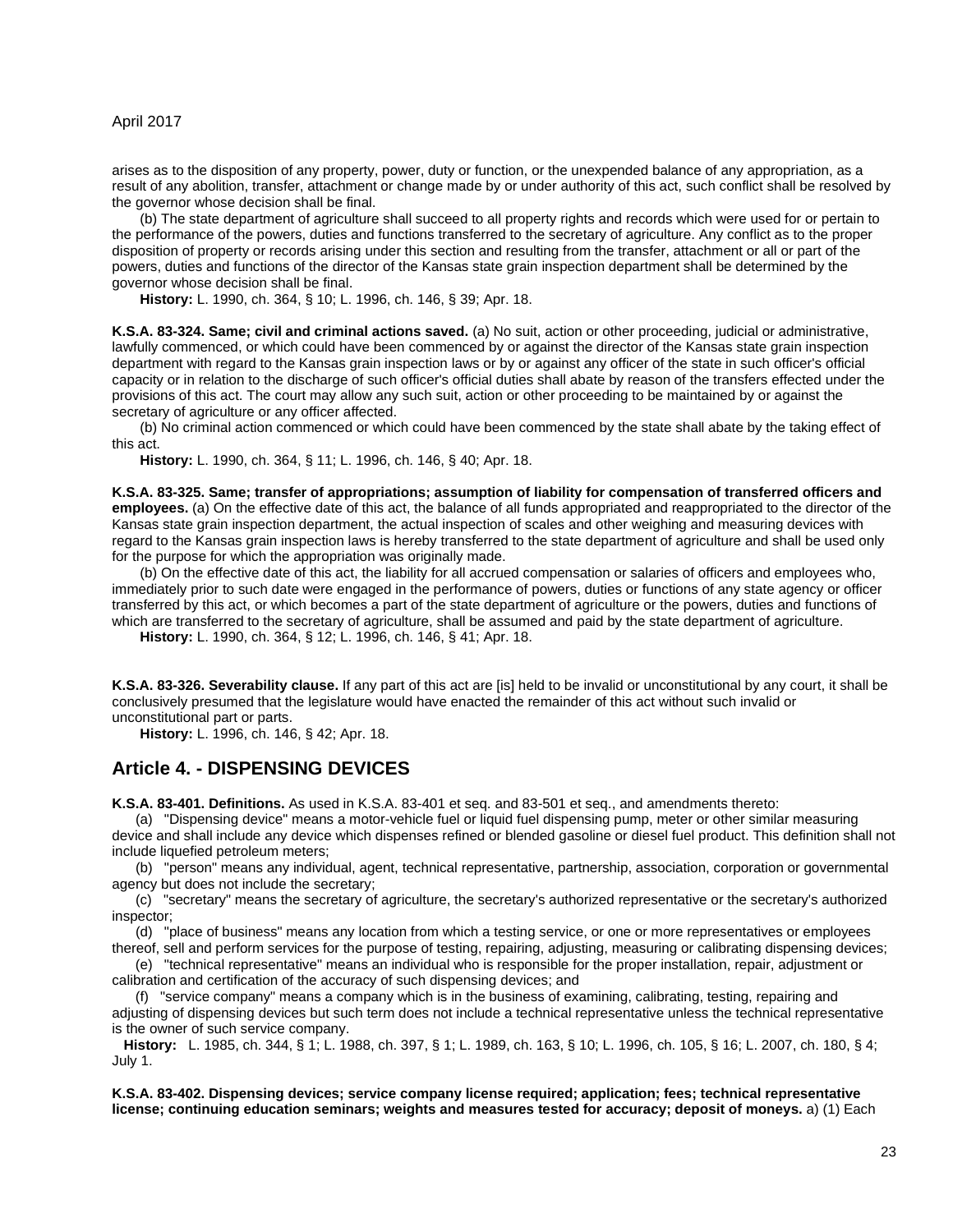arises as to the disposition of any property, power, duty or function, or the unexpended balance of any appropriation, as a result of any abolition, transfer, attachment or change made by or under authority of this act, such conflict shall be resolved by the governor whose decision shall be final.

(b) The state department of agriculture shall succeed to all property rights and records which were used for or pertain to the performance of the powers, duties and functions transferred to the secretary of agriculture. Any conflict as to the proper disposition of property or records arising under this section and resulting from the transfer, attachment or all or part of the powers, duties and functions of the director of the Kansas state grain inspection department shall be determined by the governor whose decision shall be final.

**History:** L. 1990, ch. 364, § 10; L. 1996, ch. 146, § 39; Apr. 18.

<span id="page-22-0"></span>**K.S.A. 83-324. Same; civil and criminal actions saved.** (a) No suit, action or other proceeding, judicial or administrative, lawfully commenced, or which could have been commenced by or against the director of the Kansas state grain inspection department with regard to the Kansas grain inspection laws or by or against any officer of the state in such officer's official capacity or in relation to the discharge of such officer's official duties shall abate by reason of the transfers effected under the provisions of this act. The court may allow any such suit, action or other proceeding to be maintained by or against the secretary of agriculture or any officer affected.

(b) No criminal action commenced or which could have been commenced by the state shall abate by the taking effect of this act.

**History:** L. 1990, ch. 364, § 11; L. 1996, ch. 146, § 40; Apr. 18.

<span id="page-22-1"></span>**K.S.A. 83-325. Same; transfer of appropriations; assumption of liability for compensation of transferred officers and employees.** (a) On the effective date of this act, the balance of all funds appropriated and reappropriated to the director of the Kansas state grain inspection department, the actual inspection of scales and other weighing and measuring devices with regard to the Kansas grain inspection laws is hereby transferred to the state department of agriculture and shall be used only for the purpose for which the appropriation was originally made.

(b) On the effective date of this act, the liability for all accrued compensation or salaries of officers and employees who, immediately prior to such date were engaged in the performance of powers, duties or functions of any state agency or officer transferred by this act, or which becomes a part of the state department of agriculture or the powers, duties and functions of which are transferred to the secretary of agriculture, shall be assumed and paid by the state department of agriculture.

**History:** L. 1990, ch. 364, § 12; L. 1996, ch. 146, § 41; Apr. 18.

<span id="page-22-2"></span>**K.S.A. 83-326. Severability clause.** If any part of this act are [is] held to be invalid or unconstitutional by any court, it shall be conclusively presumed that the legislature would have enacted the remainder of this act without such invalid or unconstitutional part or parts.

**History:** L. 1996, ch. 146, § 42; Apr. 18.

#### <span id="page-22-3"></span>**Article 4. - DISPENSING DEVICES**

<span id="page-22-4"></span>**K.S.A. 83-401. Definitions.** As used in K.S.A. 83-401 et seq. and 83-501 et seq., and amendments thereto:

(a) "Dispensing device" means a motor-vehicle fuel or liquid fuel dispensing pump, meter or other similar measuring device and shall include any device which dispenses refined or blended gasoline or diesel fuel product. This definition shall not include liquefied petroleum meters;

(b) "person" means any individual, agent, technical representative, partnership, association, corporation or governmental agency but does not include the secretary;

(c) "secretary" means the secretary of agriculture, the secretary's authorized representative or the secretary's authorized inspector;

(d) "place of business" means any location from which a testing service, or one or more representatives or employees thereof, sell and perform services for the purpose of testing, repairing, adjusting, measuring or calibrating dispensing devices;

(e) "technical representative" means an individual who is responsible for the proper installation, repair, adjustment or calibration and certification of the accuracy of such dispensing devices; and

(f) "service company" means a company which is in the business of examining, calibrating, testing, repairing and adjusting of dispensing devices but such term does not include a technical representative unless the technical representative is the owner of such service company.

**History:** L. 1985, ch. 344, § 1; L. 1988, ch. 397, § 1; L. 1989, ch. 163, § 10; L. 1996, ch. 105, § 16; L. 2007, ch. 180, § 4; July 1.

<span id="page-22-5"></span>**K.S.A. 83-402. Dispensing devices; service company license required; application; fees; technical representative license; continuing education seminars; weights and measures tested for accuracy; deposit of moneys.** a) (1) Each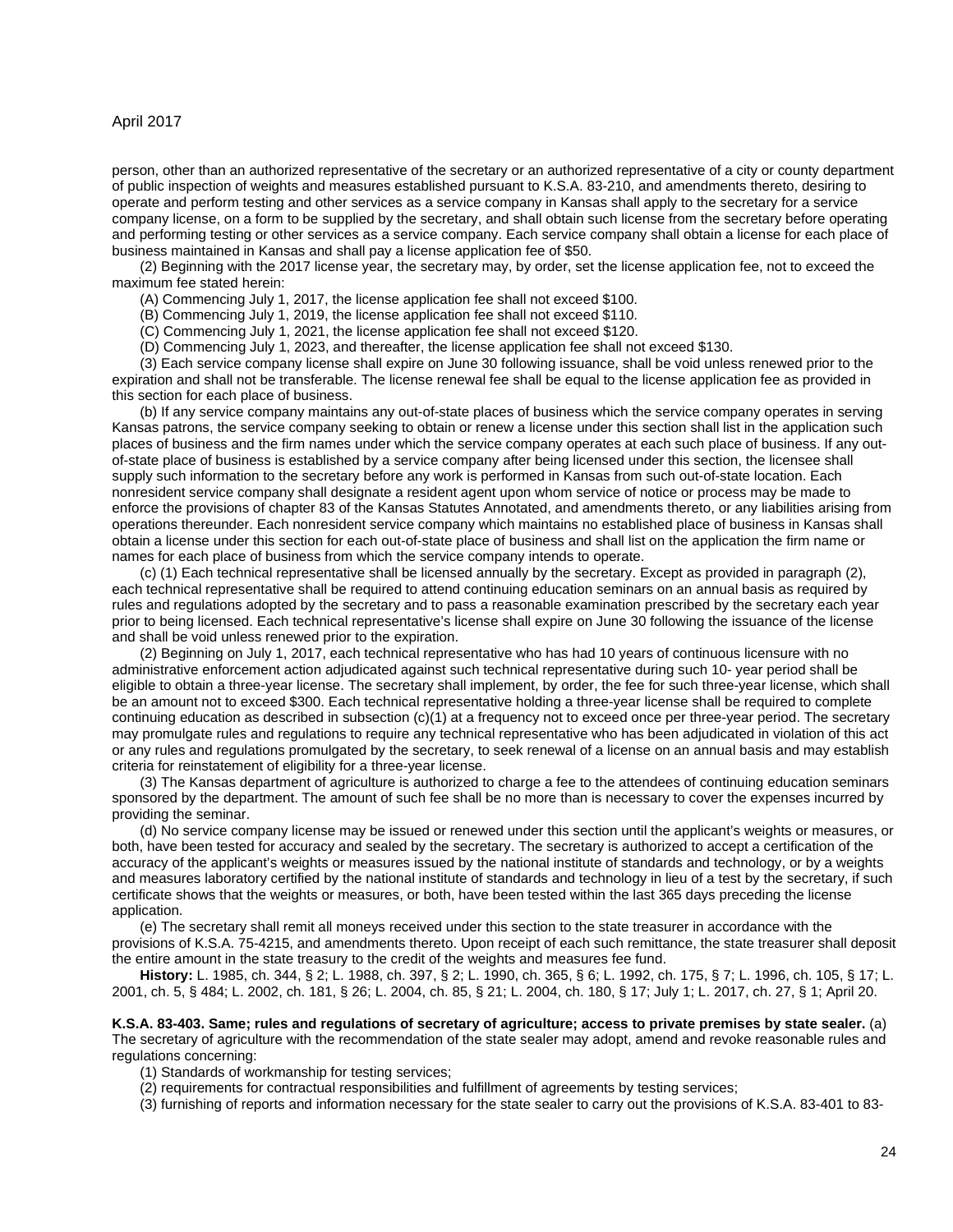person, other than an authorized representative of the secretary or an authorized representative of a city or county department of public inspection of weights and measures established pursuant to K.S.A. 83-210, and amendments thereto, desiring to operate and perform testing and other services as a service company in Kansas shall apply to the secretary for a service company license, on a form to be supplied by the secretary, and shall obtain such license from the secretary before operating and performing testing or other services as a service company. Each service company shall obtain a license for each place of business maintained in Kansas and shall pay a license application fee of \$50.

(2) Beginning with the 2017 license year, the secretary may, by order, set the license application fee, not to exceed the maximum fee stated herein:

(A) Commencing July 1, 2017, the license application fee shall not exceed \$100.

(B) Commencing July 1, 2019, the license application fee shall not exceed \$110.

(C) Commencing July 1, 2021, the license application fee shall not exceed \$120.

(D) Commencing July 1, 2023, and thereafter, the license application fee shall not exceed \$130.

(3) Each service company license shall expire on June 30 following issuance, shall be void unless renewed prior to the expiration and shall not be transferable. The license renewal fee shall be equal to the license application fee as provided in this section for each place of business.

(b) If any service company maintains any out-of-state places of business which the service company operates in serving Kansas patrons, the service company seeking to obtain or renew a license under this section shall list in the application such places of business and the firm names under which the service company operates at each such place of business. If any outof-state place of business is established by a service company after being licensed under this section, the licensee shall supply such information to the secretary before any work is performed in Kansas from such out-of-state location. Each nonresident service company shall designate a resident agent upon whom service of notice or process may be made to enforce the provisions of chapter 83 of the Kansas Statutes Annotated, and amendments thereto, or any liabilities arising from operations thereunder. Each nonresident service company which maintains no established place of business in Kansas shall obtain a license under this section for each out-of-state place of business and shall list on the application the firm name or names for each place of business from which the service company intends to operate.

(c) (1) Each technical representative shall be licensed annually by the secretary. Except as provided in paragraph (2), each technical representative shall be required to attend continuing education seminars on an annual basis as required by rules and regulations adopted by the secretary and to pass a reasonable examination prescribed by the secretary each year prior to being licensed. Each technical representative's license shall expire on June 30 following the issuance of the license and shall be void unless renewed prior to the expiration.

(2) Beginning on July 1, 2017, each technical representative who has had 10 years of continuous licensure with no administrative enforcement action adjudicated against such technical representative during such 10- year period shall be eligible to obtain a three-year license. The secretary shall implement, by order, the fee for such three-year license, which shall be an amount not to exceed \$300. Each technical representative holding a three-year license shall be required to complete continuing education as described in subsection (c)(1) at a frequency not to exceed once per three-year period. The secretary may promulgate rules and regulations to require any technical representative who has been adjudicated in violation of this act or any rules and regulations promulgated by the secretary, to seek renewal of a license on an annual basis and may establish criteria for reinstatement of eligibility for a three-year license.

(3) The Kansas department of agriculture is authorized to charge a fee to the attendees of continuing education seminars sponsored by the department. The amount of such fee shall be no more than is necessary to cover the expenses incurred by providing the seminar.

(d) No service company license may be issued or renewed under this section until the applicant's weights or measures, or both, have been tested for accuracy and sealed by the secretary. The secretary is authorized to accept a certification of the accuracy of the applicant's weights or measures issued by the national institute of standards and technology, or by a weights and measures laboratory certified by the national institute of standards and technology in lieu of a test by the secretary, if such certificate shows that the weights or measures, or both, have been tested within the last 365 days preceding the license application.

(e) The secretary shall remit all moneys received under this section to the state treasurer in accordance with the provisions of K.S.A. 75-4215, and amendments thereto. Upon receipt of each such remittance, the state treasurer shall deposit the entire amount in the state treasury to the credit of the weights and measures fee fund.

**History:** L. 1985, ch. 344, § 2; L. 1988, ch. 397, § 2; L. 1990, ch. 365, § 6; L. 1992, ch. 175, § 7; L. 1996, ch. 105, § 17; L. 2001, ch. 5, § 484; L. 2002, ch. 181, § 26; L. 2004, ch. 85, § 21; L. 2004, ch. 180, § 17; July 1; L. 2017, ch. 27, § 1; April 20.

<span id="page-23-0"></span>**K.S.A. 83-403. Same; rules and regulations of secretary of agriculture; access to private premises by state sealer.** (a) The secretary of agriculture with the recommendation of the state sealer may adopt, amend and revoke reasonable rules and regulations concerning:

(1) Standards of workmanship for testing services;

(2) requirements for contractual responsibilities and fulfillment of agreements by testing services;

(3) furnishing of reports and information necessary for the state sealer to carry out the provisions of K.S.A. 83-401 to 83-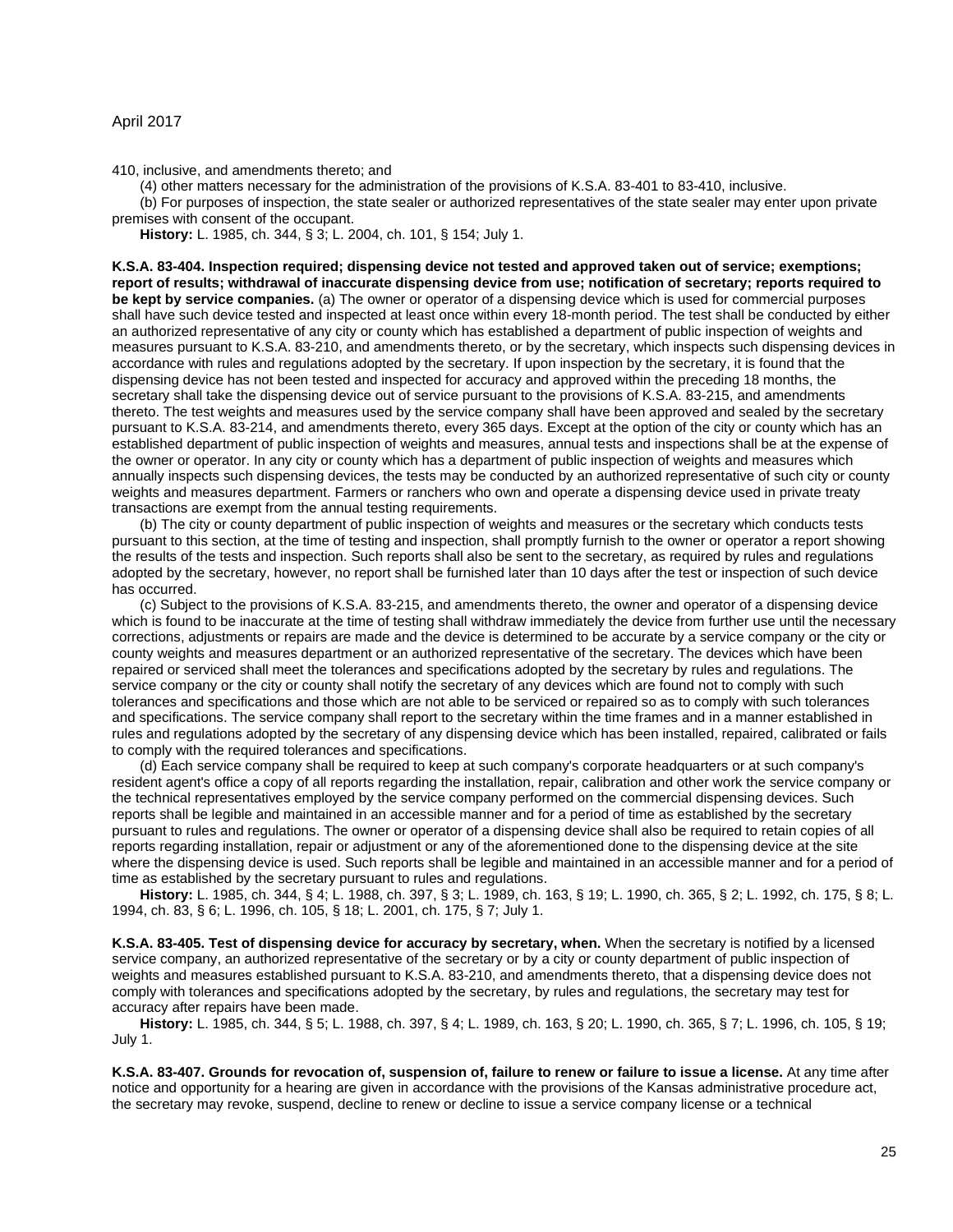410, inclusive, and amendments thereto; and

(4) other matters necessary for the administration of the provisions of K.S.A. 83-401 to 83-410, inclusive.

(b) For purposes of inspection, the state sealer or authorized representatives of the state sealer may enter upon private premises with consent of the occupant.

**History:** L. 1985, ch. 344, § 3; L. 2004, ch. 101, § 154; July 1.

<span id="page-24-0"></span>**K.S.A. 83-404. Inspection required; dispensing device not tested and approved taken out of service; exemptions; report of results; withdrawal of inaccurate dispensing device from use; notification of secretary; reports required to be kept by service companies.** (a) The owner or operator of a dispensing device which is used for commercial purposes shall have such device tested and inspected at least once within every 18-month period. The test shall be conducted by either an authorized representative of any city or county which has established a department of public inspection of weights and measures pursuant to K.S.A. 83-210, and amendments thereto, or by the secretary, which inspects such dispensing devices in accordance with rules and regulations adopted by the secretary. If upon inspection by the secretary, it is found that the dispensing device has not been tested and inspected for accuracy and approved within the preceding 18 months, the secretary shall take the dispensing device out of service pursuant to the provisions of K.S.A. 83-215, and amendments thereto. The test weights and measures used by the service company shall have been approved and sealed by the secretary pursuant to K.S.A. 83-214, and amendments thereto, every 365 days. Except at the option of the city or county which has an established department of public inspection of weights and measures, annual tests and inspections shall be at the expense of the owner or operator. In any city or county which has a department of public inspection of weights and measures which annually inspects such dispensing devices, the tests may be conducted by an authorized representative of such city or county weights and measures department. Farmers or ranchers who own and operate a dispensing device used in private treaty transactions are exempt from the annual testing requirements.

(b) The city or county department of public inspection of weights and measures or the secretary which conducts tests pursuant to this section, at the time of testing and inspection, shall promptly furnish to the owner or operator a report showing the results of the tests and inspection. Such reports shall also be sent to the secretary, as required by rules and regulations adopted by the secretary, however, no report shall be furnished later than 10 days after the test or inspection of such device has occurred.

(c) Subject to the provisions of K.S.A. 83-215, and amendments thereto, the owner and operator of a dispensing device which is found to be inaccurate at the time of testing shall withdraw immediately the device from further use until the necessary corrections, adjustments or repairs are made and the device is determined to be accurate by a service company or the city or county weights and measures department or an authorized representative of the secretary. The devices which have been repaired or serviced shall meet the tolerances and specifications adopted by the secretary by rules and regulations. The service company or the city or county shall notify the secretary of any devices which are found not to comply with such tolerances and specifications and those which are not able to be serviced or repaired so as to comply with such tolerances and specifications. The service company shall report to the secretary within the time frames and in a manner established in rules and regulations adopted by the secretary of any dispensing device which has been installed, repaired, calibrated or fails to comply with the required tolerances and specifications.

(d) Each service company shall be required to keep at such company's corporate headquarters or at such company's resident agent's office a copy of all reports regarding the installation, repair, calibration and other work the service company or the technical representatives employed by the service company performed on the commercial dispensing devices. Such reports shall be legible and maintained in an accessible manner and for a period of time as established by the secretary pursuant to rules and regulations. The owner or operator of a dispensing device shall also be required to retain copies of all reports regarding installation, repair or adjustment or any of the aforementioned done to the dispensing device at the site where the dispensing device is used. Such reports shall be legible and maintained in an accessible manner and for a period of time as established by the secretary pursuant to rules and regulations.

**History:** L. 1985, ch. 344, § 4; L. 1988, ch. 397, § 3; L. 1989, ch. 163, § 19; L. 1990, ch. 365, § 2; L. 1992, ch. 175, § 8; L. 1994, ch. 83, § 6; L. 1996, ch. 105, § 18; L. 2001, ch. 175, § 7; July 1.

<span id="page-24-1"></span>**K.S.A. 83-405. Test of dispensing device for accuracy by secretary, when.** When the secretary is notified by a licensed service company, an authorized representative of the secretary or by a city or county department of public inspection of weights and measures established pursuant to K.S.A. 83-210, and amendments thereto, that a dispensing device does not comply with tolerances and specifications adopted by the secretary, by rules and regulations, the secretary may test for accuracy after repairs have been made.

**History:** L. 1985, ch. 344, § 5; L. 1988, ch. 397, § 4; L. 1989, ch. 163, § 20; L. 1990, ch. 365, § 7; L. 1996, ch. 105, § 19; July 1.

<span id="page-24-2"></span>**K.S.A. 83-407. Grounds for revocation of, suspension of, failure to renew or failure to issue a license.** At any time after notice and opportunity for a hearing are given in accordance with the provisions of the Kansas administrative procedure act, the secretary may revoke, suspend, decline to renew or decline to issue a service company license or a technical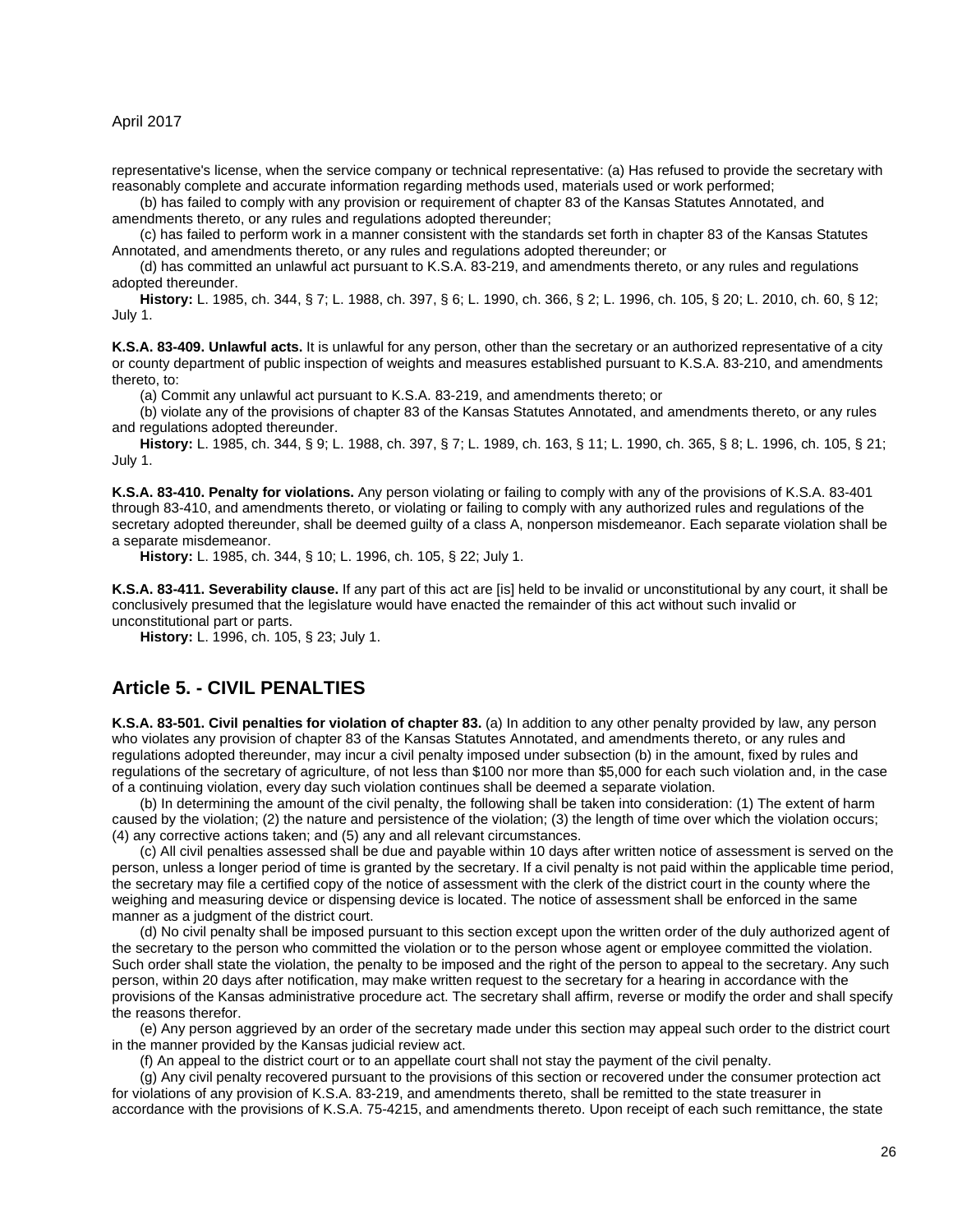representative's license, when the service company or technical representative: (a) Has refused to provide the secretary with reasonably complete and accurate information regarding methods used, materials used or work performed;

(b) has failed to comply with any provision or requirement of chapter 83 of the Kansas Statutes Annotated, and amendments thereto, or any rules and regulations adopted thereunder;

(c) has failed to perform work in a manner consistent with the standards set forth in chapter 83 of the Kansas Statutes Annotated, and amendments thereto, or any rules and regulations adopted thereunder; or

(d) has committed an unlawful act pursuant to K.S.A. 83-219, and amendments thereto, or any rules and regulations adopted thereunder.

**History:** L. 1985, ch. 344, § 7; L. 1988, ch. 397, § 6; L. 1990, ch. 366, § 2; L. 1996, ch. 105, § 20; L. 2010, ch. 60, § 12; July 1.

<span id="page-25-0"></span>**K.S.A. 83-409. Unlawful acts.** It is unlawful for any person, other than the secretary or an authorized representative of a city or county department of public inspection of weights and measures established pursuant to K.S.A. 83-210, and amendments thereto, to:

(a) Commit any unlawful act pursuant to K.S.A. 83-219, and amendments thereto; or

(b) violate any of the provisions of chapter 83 of the Kansas Statutes Annotated, and amendments thereto, or any rules and regulations adopted thereunder.

**History:** L. 1985, ch. 344, § 9; L. 1988, ch. 397, § 7; L. 1989, ch. 163, § 11; L. 1990, ch. 365, § 8; L. 1996, ch. 105, § 21; July 1.

<span id="page-25-1"></span>**K.S.A. 83-410. Penalty for violations.** Any person violating or failing to comply with any of the provisions of K.S.A. 83-401 through 83-410, and amendments thereto, or violating or failing to comply with any authorized rules and regulations of the secretary adopted thereunder, shall be deemed guilty of a class A, nonperson misdemeanor. Each separate violation shall be a separate misdemeanor.

**History:** L. 1985, ch. 344, § 10; L. 1996, ch. 105, § 22; July 1.

<span id="page-25-2"></span>**K.S.A. 83-411. Severability clause.** If any part of this act are [is] held to be invalid or unconstitutional by any court, it shall be conclusively presumed that the legislature would have enacted the remainder of this act without such invalid or unconstitutional part or parts.

**History:** L. 1996, ch. 105, § 23; July 1.

## <span id="page-25-3"></span>**Article 5. - CIVIL PENALTIES**

<span id="page-25-4"></span>**K.S.A. 83-501. Civil penalties for violation of chapter 83.** (a) In addition to any other penalty provided by law, any person who violates any provision of chapter 83 of the Kansas Statutes Annotated, and amendments thereto, or any rules and regulations adopted thereunder, may incur a civil penalty imposed under subsection (b) in the amount, fixed by rules and regulations of the secretary of agriculture, of not less than \$100 nor more than \$5,000 for each such violation and, in the case of a continuing violation, every day such violation continues shall be deemed a separate violation.

(b) In determining the amount of the civil penalty, the following shall be taken into consideration: (1) The extent of harm caused by the violation; (2) the nature and persistence of the violation; (3) the length of time over which the violation occurs; (4) any corrective actions taken; and (5) any and all relevant circumstances.

(c) All civil penalties assessed shall be due and payable within 10 days after written notice of assessment is served on the person, unless a longer period of time is granted by the secretary. If a civil penalty is not paid within the applicable time period, the secretary may file a certified copy of the notice of assessment with the clerk of the district court in the county where the weighing and measuring device or dispensing device is located. The notice of assessment shall be enforced in the same manner as a judgment of the district court.

(d) No civil penalty shall be imposed pursuant to this section except upon the written order of the duly authorized agent of the secretary to the person who committed the violation or to the person whose agent or employee committed the violation. Such order shall state the violation, the penalty to be imposed and the right of the person to appeal to the secretary. Any such person, within 20 days after notification, may make written request to the secretary for a hearing in accordance with the provisions of the Kansas administrative procedure act. The secretary shall affirm, reverse or modify the order and shall specify the reasons therefor.

(e) Any person aggrieved by an order of the secretary made under this section may appeal such order to the district court in the manner provided by the Kansas judicial review act.

(f) An appeal to the district court or to an appellate court shall not stay the payment of the civil penalty.

(g) Any civil penalty recovered pursuant to the provisions of this section or recovered under the consumer protection act for violations of any provision of K.S.A. 83-219, and amendments thereto, shall be remitted to the state treasurer in accordance with the provisions of K.S.A. 75-4215, and amendments thereto. Upon receipt of each such remittance, the state